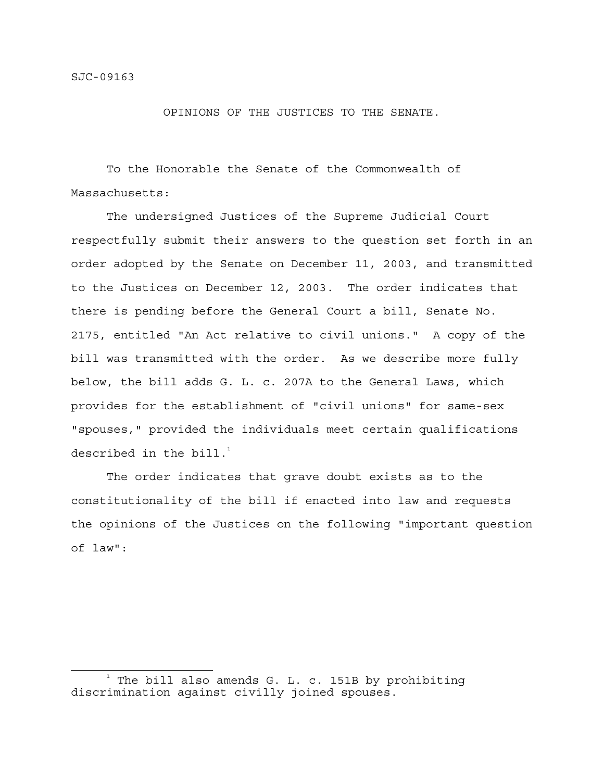OPINIONS OF THE JUSTICES TO THE SENATE.

To the Honorable the Senate of the Commonwealth of Massachusetts:

The undersigned Justices of the Supreme Judicial Court respectfully submit their answers to the question set forth in an order adopted by the Senate on December 11, 2003, and transmitted to the Justices on December 12, 2003. The order indicates that there is pending before the General Court a bill, Senate No. 2175, entitled "An Act relative to civil unions." A copy of the bill was transmitted with the order. As we describe more fully below, the bill adds G. L. c. 207A to the General Laws, which provides for the establishment of "civil unions" for same-sex "spouses," provided the individuals meet certain qualifications described in the bill. $1$ 

The order indicates that grave doubt exists as to the constitutionality of the bill if enacted into law and requests the opinions of the Justices on the following "important question of law":

<span id="page-0-0"></span> $\overline{\phantom{a}1}$  $1$  The bill also amends G. L. c. 151B by prohibiting discrimination against civilly joined spouses.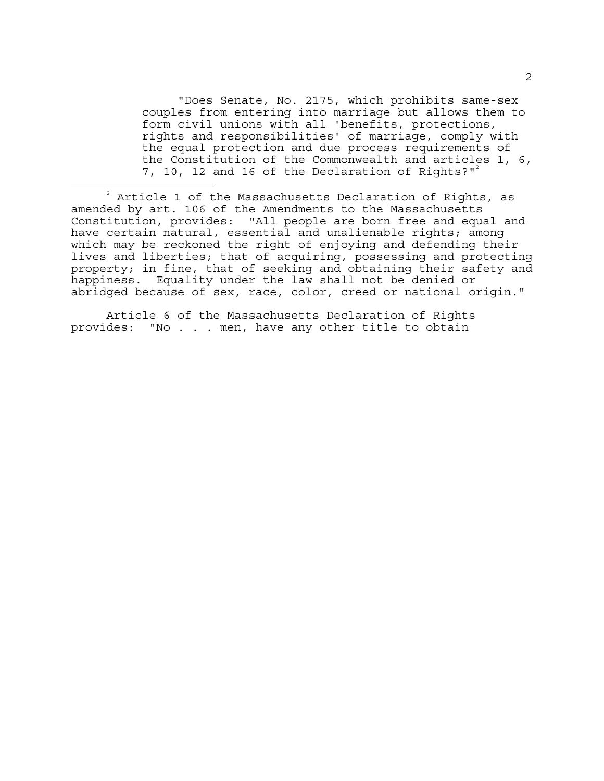<span id="page-1-0"></span>"Does Senate, No. 2175, which prohibits same-sex couples from entering into marriage but allows them to form civil unions with all 'benefits, protections, rights and responsibilities' of marriage, comply with the equal protection and due process requirements of the Constitution of the Commonwealth and articles 1, 6, 7, 10, 12 and 16 of the Declaration of Rights?"<sup>2</sup>

 $^{\text{2}}$  Article 1 of the Massachusetts Declaration of Rights, as amended by art. 106 of the Amendments to the Massachusetts Constitution, provides: "All people are born free and equal and have certain natural, essential and unalienable rights; among which may be reckoned the right of enjoying and defending their lives and liberties; that of acquiring, possessing and protecting property; in fine, that of seeking and obtaining their safety and happiness. Equality under the law shall not be denied or abridged because of sex, race, color, creed or national origin."

Article 6 of the Massachusetts Declaration of Rights provides: "No . . . men, have any other title to obtain

i<br>L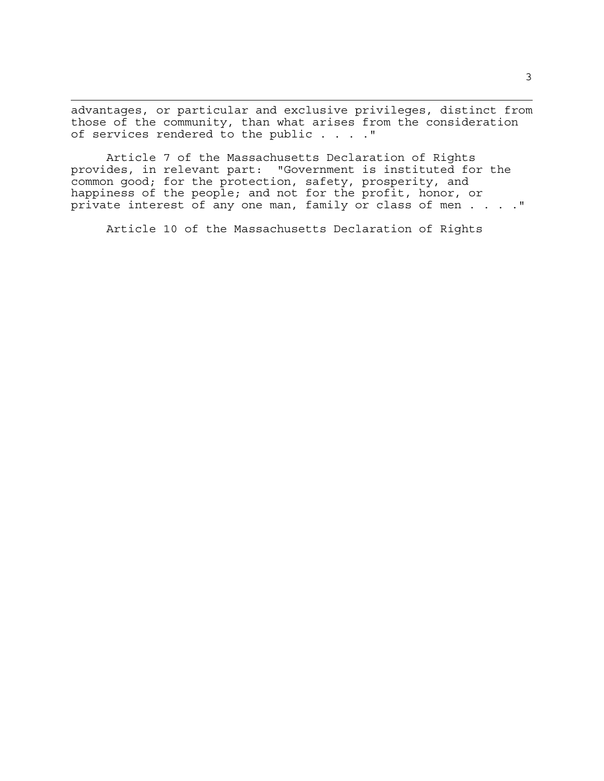advantages, or particular and exclusive privileges, distinct from those of the community, than what arises from the consideration of services rendered to the public . . . ."

i<br>L

Article 7 of the Massachusetts Declaration of Rights provides, in relevant part: "Government is instituted for the common good; for the protection, safety, prosperity, and happiness of the people; and not for the profit, honor, or private interest of any one man, family or class of men . . . ."

Article 10 of the Massachusetts Declaration of Rights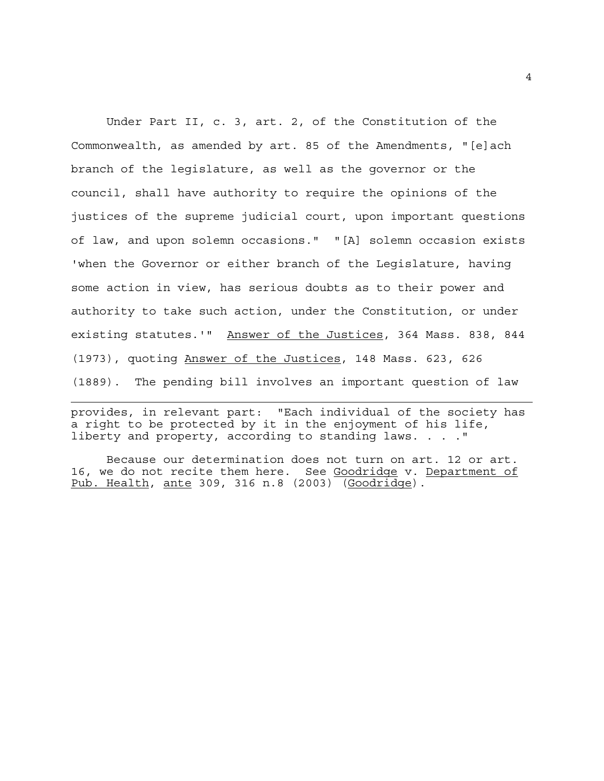Under Part II, c. 3, art. 2, of the Constitution of the Commonwealth, as amended by art. 85 of the Amendments, "[e]ach branch of the legislature, as well as the governor or the council, shall have authority to require the opinions of the justices of the supreme judicial court, upon important questions of law, and upon solemn occasions." "[A] solemn occasion exists 'when the Governor or either branch of the Legislature, having some action in view, has serious doubts as to their power and authority to take such action, under the Constitution, or under existing statutes.'" Answer of the Justices, 364 Mass. 838, 844 (1973), quoting Answer of the Justices, 148 Mass. 623, 626 (1889). The pending bill involves an important question of law

provides, in relevant part: "Each individual of the society has a right to be protected by it in the enjoyment of his life, liberty and property, according to standing laws. . . ."

ı

Because our determination does not turn on art. 12 or art. 16, we do not recite them here. See Goodridge v. Department of Pub. Health, ante 309, 316 n.8 (2003) (Goodridge).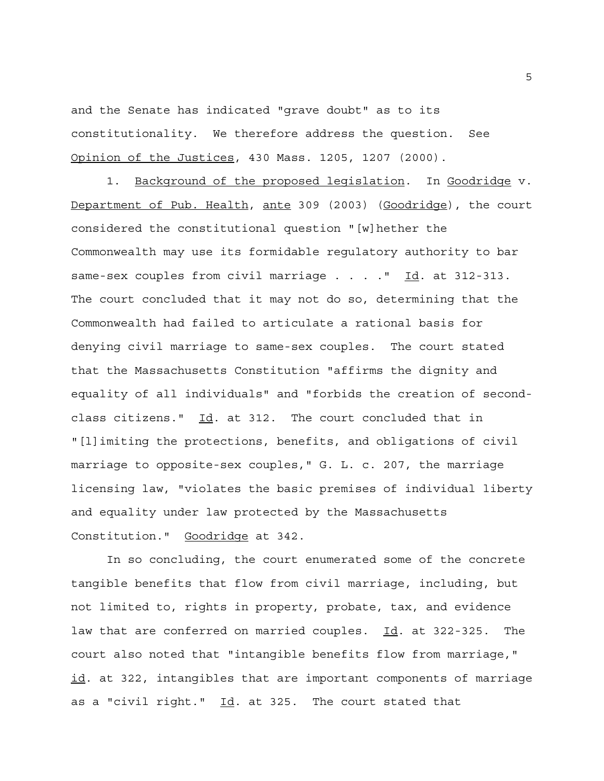and the Senate has indicated "grave doubt" as to its constitutionality. We therefore address the question. See Opinion of the Justices, 430 Mass. 1205, 1207 (2000).

1. Background of the proposed legislation. In Goodridge v. Department of Pub. Health, ante 309 (2003) (Goodridge), the court considered the constitutional question "[w]hether the Commonwealth may use its formidable regulatory authority to bar same-sex couples from civil marriage . . . . " Id. at 312-313. The court concluded that it may not do so, determining that the Commonwealth had failed to articulate a rational basis for denying civil marriage to same-sex couples. The court stated that the Massachusetts Constitution "affirms the dignity and equality of all individuals" and "forbids the creation of secondclass citizens."  $\underline{Id}$ . at 312. The court concluded that in "[l]imiting the protections, benefits, and obligations of civil marriage to opposite-sex couples," G. L. c. 207, the marriage licensing law, "violates the basic premises of individual liberty and equality under law protected by the Massachusetts Constitution." Goodridge at 342.

In so concluding, the court enumerated some of the concrete tangible benefits that flow from civil marriage, including, but not limited to, rights in property, probate, tax, and evidence law that are conferred on married couples. Id. at 322-325. The court also noted that "intangible benefits flow from marriage," id. at 322, intangibles that are important components of marriage as a "civil right."  $Id.$  at 325. The court stated that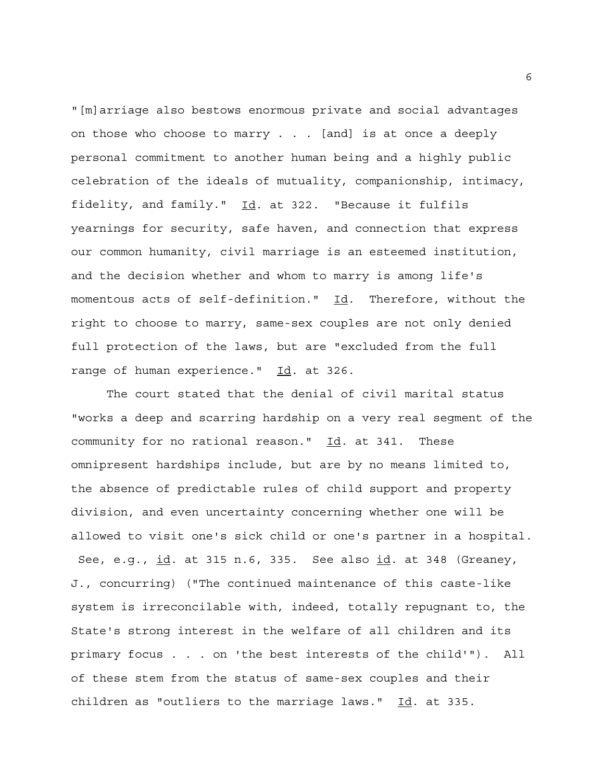"[m]arriage also bestows enormous private and social advantages on those who choose to marry . . . [and] is at once a deeply personal commitment to another human being and a highly public celebration of the ideals of mutuality, companionship, intimacy, fidelity, and family."  $\underline{Id}$ . at 322. "Because it fulfils yearnings for security, safe haven, and connection that express our common humanity, civil marriage is an esteemed institution, and the decision whether and whom to marry is among life's momentous acts of self-definition." Id. Therefore, without the right to choose to marry, same-sex couples are not only denied full protection of the laws, but are "excluded from the full range of human experience." Id. at 326.

The court stated that the denial of civil marital status "works a deep and scarring hardship on a very real segment of the community for no rational reason."  $\underline{Id}$ . at 341. These omnipresent hardships include, but are by no means limited to, the absence of predictable rules of child support and property division, and even uncertainty concerning whether one will be allowed to visit one's sick child or one's partner in a hospital. See, e.g., id. at 315 n.6, 335. See also id. at 348 (Greaney, J., concurring) ("The continued maintenance of this caste-like system is irreconcilable with, indeed, totally repugnant to, the State's strong interest in the welfare of all children and its primary focus . . . on 'the best interests of the child'"). All of these stem from the status of same-sex couples and their children as "outliers to the marriage laws."  $\underline{Id}$ . at 335.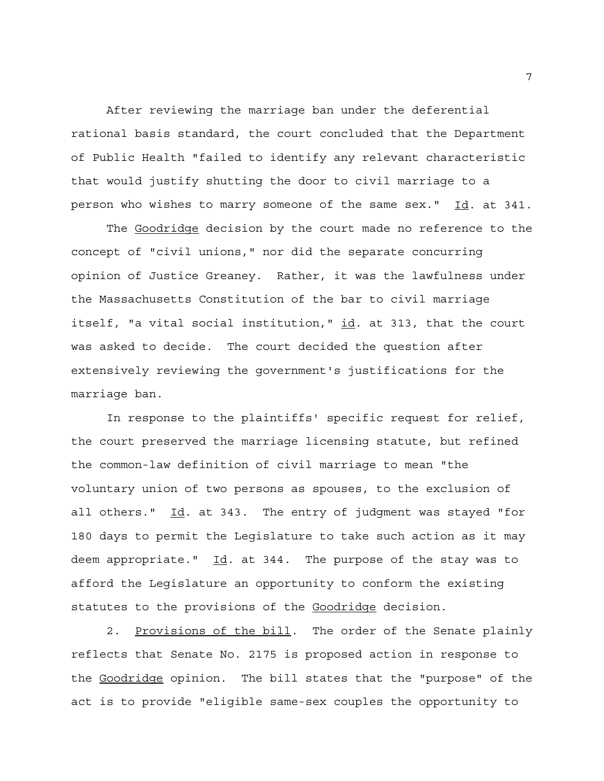After reviewing the marriage ban under the deferential rational basis standard, the court concluded that the Department of Public Health "failed to identify any relevant characteristic that would justify shutting the door to civil marriage to a person who wishes to marry someone of the same sex."  $\underline{Id}$ . at 341.

The Goodridge decision by the court made no reference to the concept of "civil unions," nor did the separate concurring opinion of Justice Greaney. Rather, it was the lawfulness under the Massachusetts Constitution of the bar to civil marriage itself, "a vital social institution," id. at 313, that the court was asked to decide. The court decided the question after extensively reviewing the government's justifications for the marriage ban.

In response to the plaintiffs' specific request for relief, the court preserved the marriage licensing statute, but refined the common-law definition of civil marriage to mean "the voluntary union of two persons as spouses, to the exclusion of all others."  $Id.$  at 343. The entry of judgment was stayed "for 180 days to permit the Legislature to take such action as it may deem appropriate."  $Id.$  at 344. The purpose of the stay was to afford the Legislature an opportunity to conform the existing statutes to the provisions of the Goodridge decision.

2. Provisions of the bill. The order of the Senate plainly reflects that Senate No. 2175 is proposed action in response to the Goodridge opinion. The bill states that the "purpose" of the act is to provide "eligible same-sex couples the opportunity to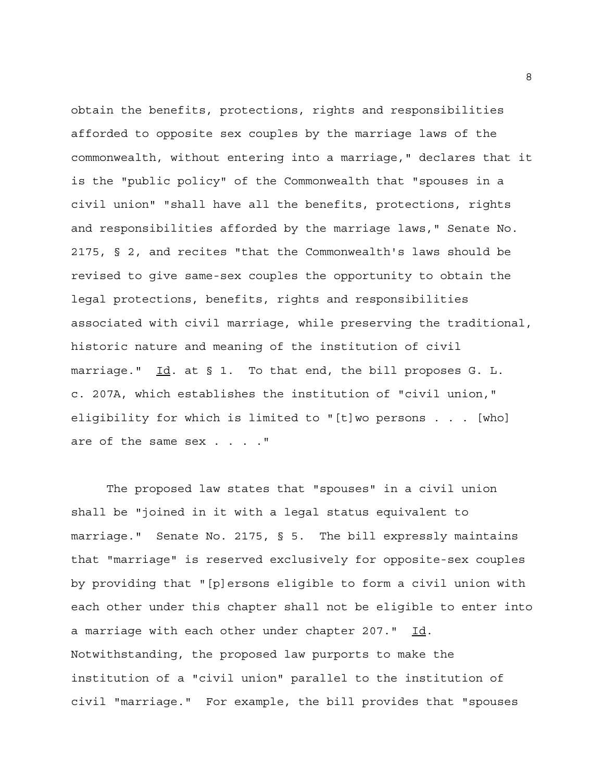obtain the benefits, protections, rights and responsibilities afforded to opposite sex couples by the marriage laws of the commonwealth, without entering into a marriage," declares that it is the "public policy" of the Commonwealth that "spouses in a civil union" "shall have all the benefits, protections, rights and responsibilities afforded by the marriage laws," Senate No. 2175, § 2, and recites "that the Commonwealth's laws should be revised to give same-sex couples the opportunity to obtain the legal protections, benefits, rights and responsibilities associated with civil marriage, while preserving the traditional, historic nature and meaning of the institution of civil marriage." Id. at § 1. To that end, the bill proposes G. L. c. 207A, which establishes the institution of "civil union," eligibility for which is limited to "[t]wo persons . . . [who] are of the same sex . . . . "

The proposed law states that "spouses" in a civil union shall be "joined in it with a legal status equivalent to marriage." Senate No. 2175, § 5. The bill expressly maintains that "marriage" is reserved exclusively for opposite-sex couples by providing that "[p]ersons eligible to form a civil union with each other under this chapter shall not be eligible to enter into a marriage with each other under chapter 207." Id. Notwithstanding, the proposed law purports to make the institution of a "civil union" parallel to the institution of civil "marriage." For example, the bill provides that "spouses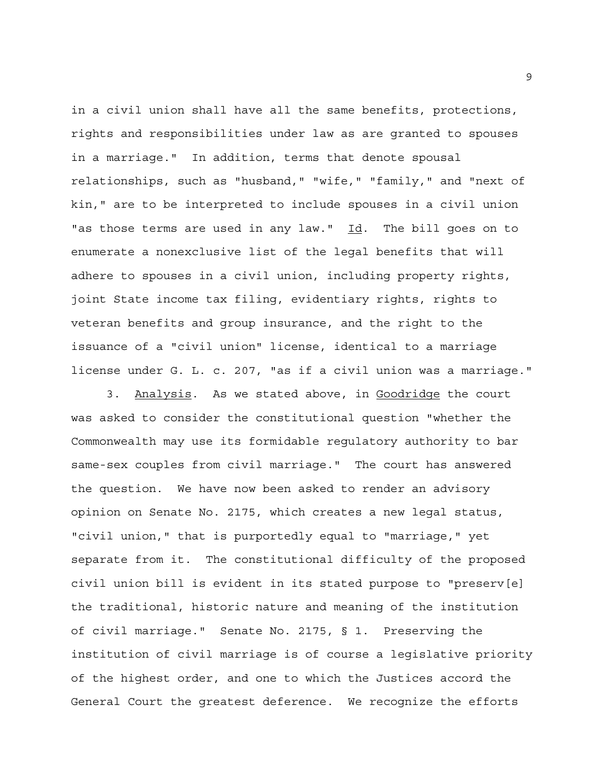in a civil union shall have all the same benefits, protections, rights and responsibilities under law as are granted to spouses in a marriage." In addition, terms that denote spousal relationships, such as "husband," "wife," "family," and "next of kin," are to be interpreted to include spouses in a civil union "as those terms are used in any law."  $Id$ . The bill goes on to enumerate a nonexclusive list of the legal benefits that will adhere to spouses in a civil union, including property rights, joint State income tax filing, evidentiary rights, rights to veteran benefits and group insurance, and the right to the issuance of a "civil union" license, identical to a marriage license under G. L. c. 207, "as if a civil union was a marriage."

3. Analysis. As we stated above, in Goodridge the court was asked to consider the constitutional question "whether the Commonwealth may use its formidable regulatory authority to bar same-sex couples from civil marriage." The court has answered the question. We have now been asked to render an advisory opinion on Senate No. 2175, which creates a new legal status, "civil union," that is purportedly equal to "marriage," yet separate from it. The constitutional difficulty of the proposed civil union bill is evident in its stated purpose to "preserv[e] the traditional, historic nature and meaning of the institution of civil marriage." Senate No. 2175, § 1. Preserving the institution of civil marriage is of course a legislative priority of the highest order, and one to which the Justices accord the General Court the greatest deference. We recognize the efforts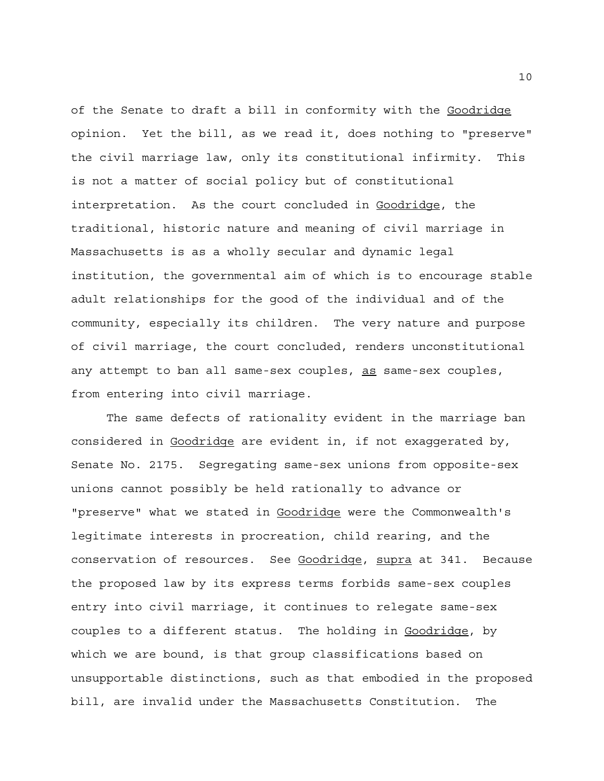of the Senate to draft a bill in conformity with the Goodridge opinion. Yet the bill, as we read it, does nothing to "preserve" the civil marriage law, only its constitutional infirmity. This is not a matter of social policy but of constitutional interpretation. As the court concluded in Goodridge, the traditional, historic nature and meaning of civil marriage in Massachusetts is as a wholly secular and dynamic legal institution, the governmental aim of which is to encourage stable adult relationships for the good of the individual and of the community, especially its children. The very nature and purpose of civil marriage, the court concluded, renders unconstitutional any attempt to ban all same-sex couples, as same-sex couples, from entering into civil marriage.

The same defects of rationality evident in the marriage ban considered in Goodridge are evident in, if not exaggerated by, Senate No. 2175. Segregating same-sex unions from opposite-sex unions cannot possibly be held rationally to advance or "preserve" what we stated in Goodridge were the Commonwealth's legitimate interests in procreation, child rearing, and the conservation of resources. See Goodridge, supra at 341. Because the proposed law by its express terms forbids same-sex couples entry into civil marriage, it continues to relegate same-sex couples to a different status. The holding in Goodridge, by which we are bound, is that group classifications based on unsupportable distinctions, such as that embodied in the proposed bill, are invalid under the Massachusetts Constitution. The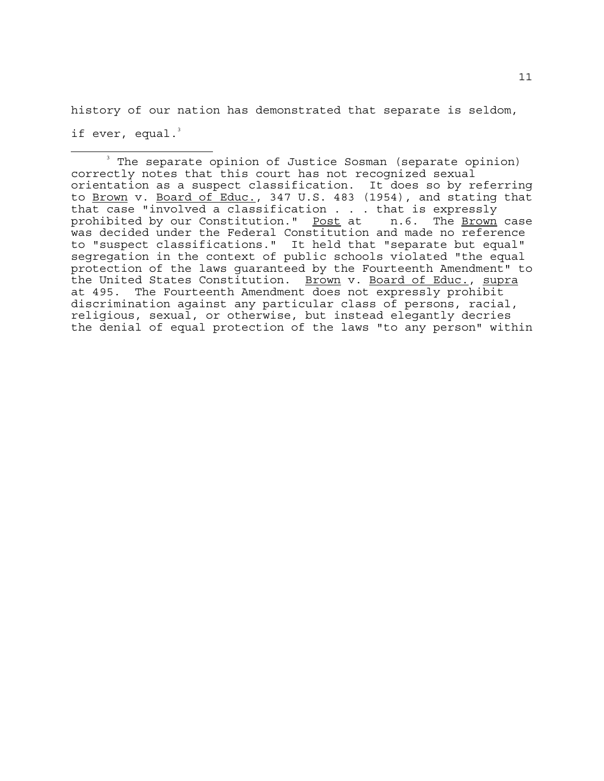<span id="page-10-0"></span>history of our nation has demonstrated that separate is seldom, if ever, equal. $3$ 

i<br>L

3 The separate opinion of Justice Sosman (separate opinion) correctly notes that this court has not recognized sexual orientation as a suspect classification. It does so by referring to Brown v. Board of Educ., 347 U.S. 483 (1954), and stating that that case "involved a classification . . . that is expressly prohibited by our Constitution." Post at n.6. The Brown case was decided under the Federal Constitution and made no reference to "suspect classifications." It held that "separate but equal" segregation in the context of public schools violated "the equal protection of the laws guaranteed by the Fourteenth Amendment" to the United States Constitution. Brown v. Board of Educ., supra at 495. The Fourteenth Amendment does not expressly prohibit discrimination against any particular class of persons, racial, religious, sexual, or otherwise, but instead elegantly decries the denial of equal protection of the laws "to any person" within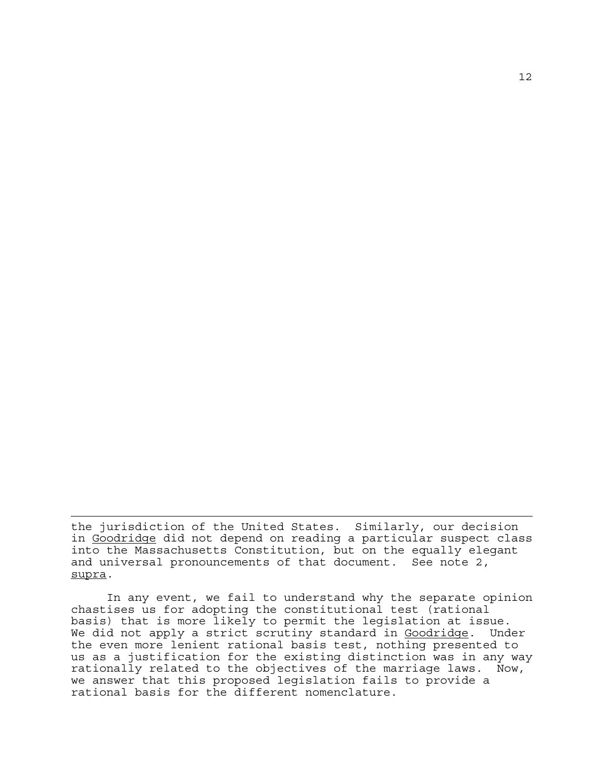the jurisdiction of the United States. Similarly, our decision in Goodridge did not depend on reading a particular suspect class into the Massachusetts Constitution, but on the equally elegant and universal pronouncements of that document. See note 2, supra.

ı

In any event, we fail to understand why the separate opinion chastises us for adopting the constitutional test (rational basis) that is more likely to permit the legislation at issue. We did not apply a strict scrutiny standard in Goodridge. Under the even more lenient rational basis test, nothing presented to us as a justification for the existing distinction was in any way rationally related to the objectives of the marriage laws. Now, we answer that this proposed legislation fails to provide a rational basis for the different nomenclature.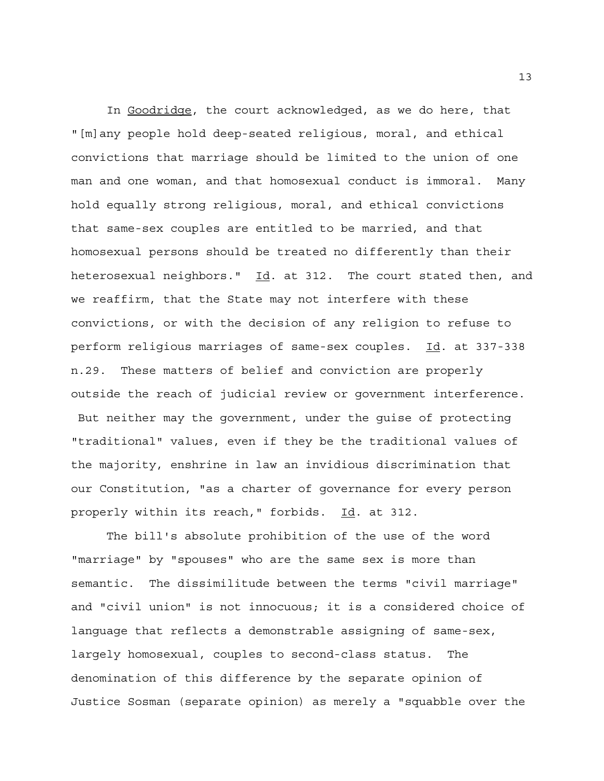In Goodridge, the court acknowledged, as we do here, that "[m]any people hold deep-seated religious, moral, and ethical convictions that marriage should be limited to the union of one man and one woman, and that homosexual conduct is immoral. Many hold equally strong religious, moral, and ethical convictions that same-sex couples are entitled to be married, and that homosexual persons should be treated no differently than their heterosexual neighbors." Id. at 312. The court stated then, and we reaffirm, that the State may not interfere with these convictions, or with the decision of any religion to refuse to perform religious marriages of same-sex couples. Id. at 337-338 n.29. These matters of belief and conviction are properly outside the reach of judicial review or government interference. But neither may the government, under the guise of protecting "traditional" values, even if they be the traditional values of the majority, enshrine in law an invidious discrimination that our Constitution, "as a charter of governance for every person properly within its reach," forbids. Id. at 312.

The bill's absolute prohibition of the use of the word "marriage" by "spouses" who are the same sex is more than semantic. The dissimilitude between the terms "civil marriage" and "civil union" is not innocuous; it is a considered choice of language that reflects a demonstrable assigning of same-sex, largely homosexual, couples to second-class status. The denomination of this difference by the separate opinion of Justice Sosman (separate opinion) as merely a "squabble over the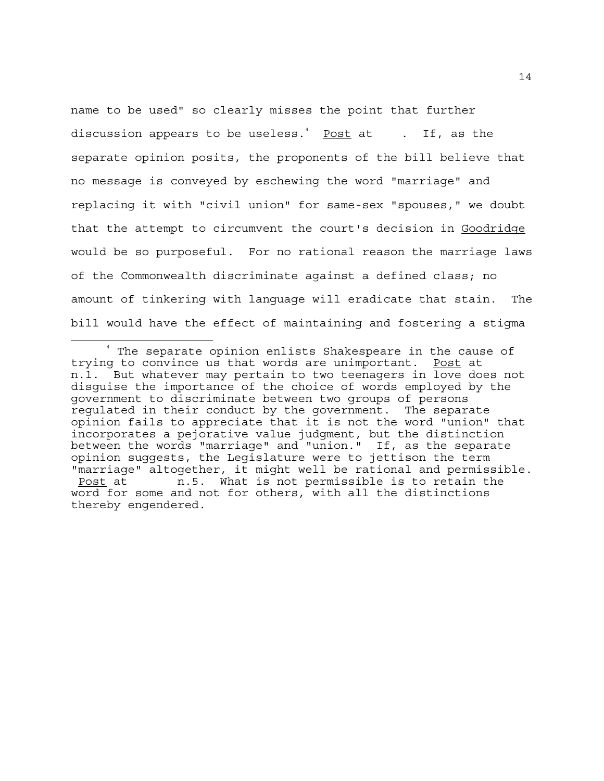name to be used" so clearly misses the point that further discussion appears to be useless.<sup>[4](#page-13-0)</sup> <u>Post</u> at . If, as the separate opinion posits, the proponents of the bill believe that no message is conveyed by eschewing the word "marriage" and replacing it with "civil union" for same-sex "spouses," we doubt that the attempt to circumvent the court's decision in Goodridge would be so purposeful. For no rational reason the marriage laws of the Commonwealth discriminate against a defined class; no amount of tinkering with language will eradicate that stain. The bill would have the effect of maintaining and fostering a stigma

<span id="page-13-0"></span> <sup>4</sup> <sup>4</sup> The separate opinion enlists Shakespeare in the cause of trying to convince us that words are unimportant. Post at n.1. But whatever may pertain to two teenagers in love does not disguise the importance of the choice of words employed by the government to discriminate between two groups of persons regulated in their conduct by the government. The separate opinion fails to appreciate that it is not the word "union" that incorporates a pejorative value judgment, but the distinction between the words "marriage" and "union." If, as the separate opinion suggests, the Legislature were to jettison the term "marriage" altogether, it might well be rational and permissible. Post at m.5. What is not permissible is to retain the word for some and not for others, with all the distinctions thereby engendered.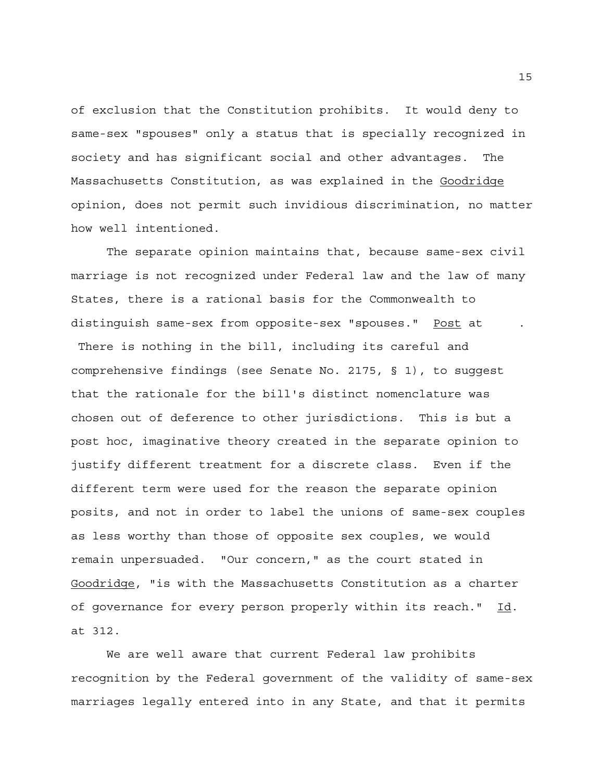of exclusion that the Constitution prohibits. It would deny to same-sex "spouses" only a status that is specially recognized in society and has significant social and other advantages. The Massachusetts Constitution, as was explained in the Goodridge opinion, does not permit such invidious discrimination, no matter how well intentioned.

The separate opinion maintains that, because same-sex civil marriage is not recognized under Federal law and the law of many States, there is a rational basis for the Commonwealth to distinguish same-sex from opposite-sex "spouses." Post at

 There is nothing in the bill, including its careful and comprehensive findings (see Senate No. 2175, § 1), to suggest that the rationale for the bill's distinct nomenclature was chosen out of deference to other jurisdictions. This is but a post hoc, imaginative theory created in the separate opinion to justify different treatment for a discrete class. Even if the different term were used for the reason the separate opinion posits, and not in order to label the unions of same-sex couples as less worthy than those of opposite sex couples, we would remain unpersuaded. "Our concern," as the court stated in Goodridge, "is with the Massachusetts Constitution as a charter of governance for every person properly within its reach." Id. at 312.

We are well aware that current Federal law prohibits recognition by the Federal government of the validity of same-sex marriages legally entered into in any State, and that it permits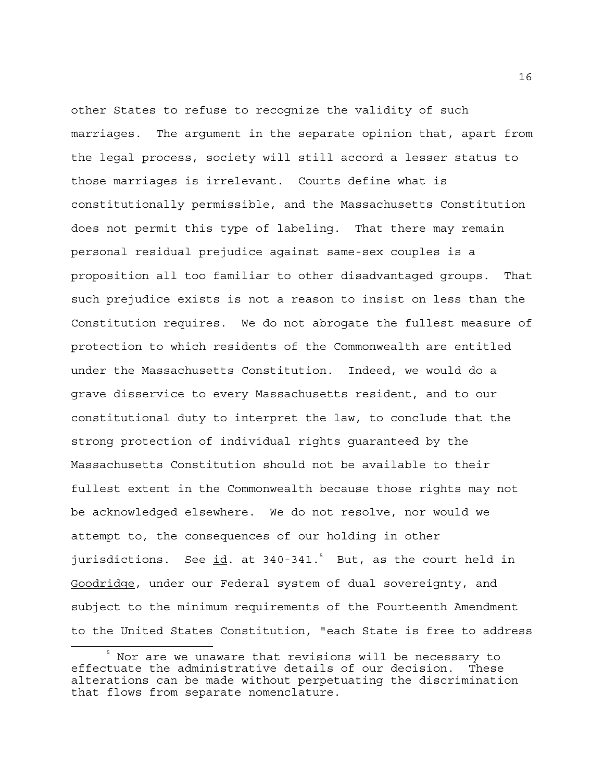other States to refuse to recognize the validity of such marriages. The argument in the separate opinion that, apart from the legal process, society will still accord a lesser status to those marriages is irrelevant. Courts define what is constitutionally permissible, and the Massachusetts Constitution does not permit this type of labeling. That there may remain personal residual prejudice against same-sex couples is a proposition all too familiar to other disadvantaged groups. That such prejudice exists is not a reason to insist on less than the Constitution requires. We do not abrogate the fullest measure of protection to which residents of the Commonwealth are entitled under the Massachusetts Constitution. Indeed, we would do a grave disservice to every Massachusetts resident, and to our constitutional duty to interpret the law, to conclude that the strong protection of individual rights guaranteed by the Massachusetts Constitution should not be available to their fullest extent in the Commonwealth because those rights may not be acknowledged elsewhere. We do not resolve, nor would we attempt to, the consequences of our holding in other jurisdictions. See id. at 340-341.<sup>[5](#page-15-0)</sup> But, as the court held in Goodridge, under our Federal system of dual sovereignty, and subject to the minimum requirements of the Fourteenth Amendment to the United States Constitution, "each State is free to address

<span id="page-15-0"></span> $\frac{1}{5}$  Nor are we unaware that revisions will be necessary to effectuate the administrative details of our decision. These alterations can be made without perpetuating the discrimination that flows from separate nomenclature.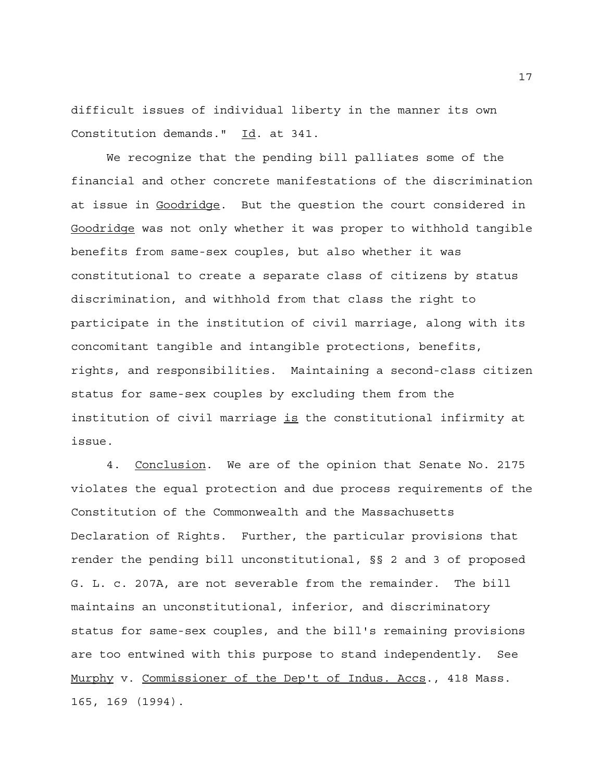difficult issues of individual liberty in the manner its own Constitution demands." Id. at 341.

We recognize that the pending bill palliates some of the financial and other concrete manifestations of the discrimination at issue in Goodridge. But the question the court considered in Goodridge was not only whether it was proper to withhold tangible benefits from same-sex couples, but also whether it was constitutional to create a separate class of citizens by status discrimination, and withhold from that class the right to participate in the institution of civil marriage, along with its concomitant tangible and intangible protections, benefits, rights, and responsibilities. Maintaining a second-class citizen status for same-sex couples by excluding them from the institution of civil marriage is the constitutional infirmity at issue.

4. Conclusion. We are of the opinion that Senate No. 2175 violates the equal protection and due process requirements of the Constitution of the Commonwealth and the Massachusetts Declaration of Rights. Further, the particular provisions that render the pending bill unconstitutional, §§ 2 and 3 of proposed G. L. c. 207A, are not severable from the remainder. The bill maintains an unconstitutional, inferior, and discriminatory status for same-sex couples, and the bill's remaining provisions are too entwined with this purpose to stand independently. See Murphy v. Commissioner of the Dep't of Indus. Accs., 418 Mass. 165, 169 (1994).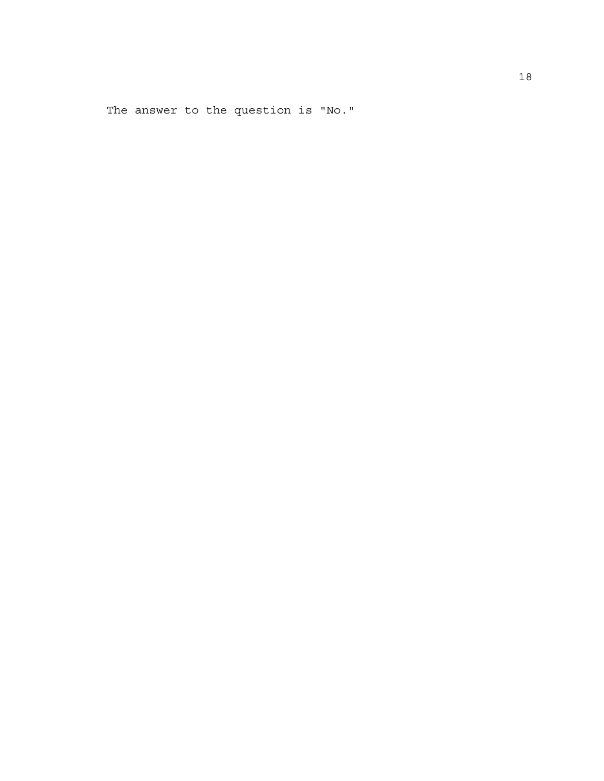The answer to the question is "No."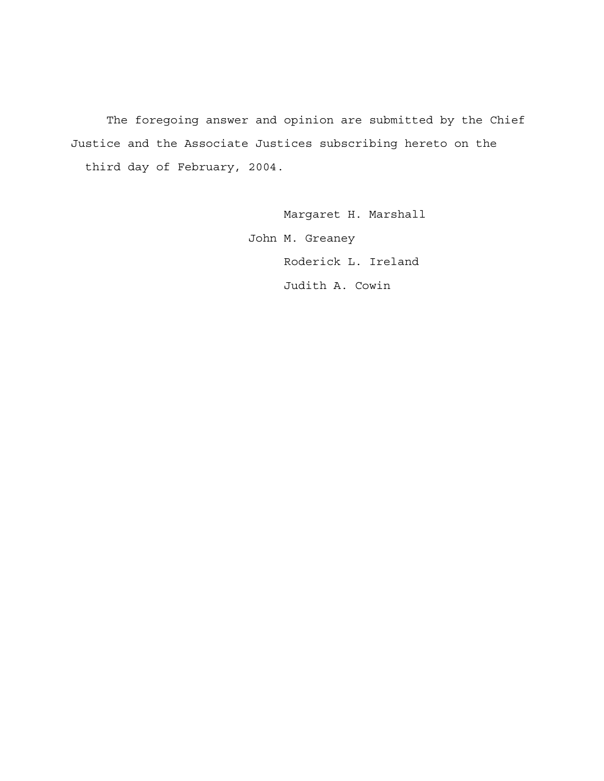The foregoing answer and opinion are submitted by the Chief Justice and the Associate Justices subscribing hereto on the third day of February, 2004.

> Margaret H. Marshall John M. Greaney Roderick L. Ireland Judith A. Cowin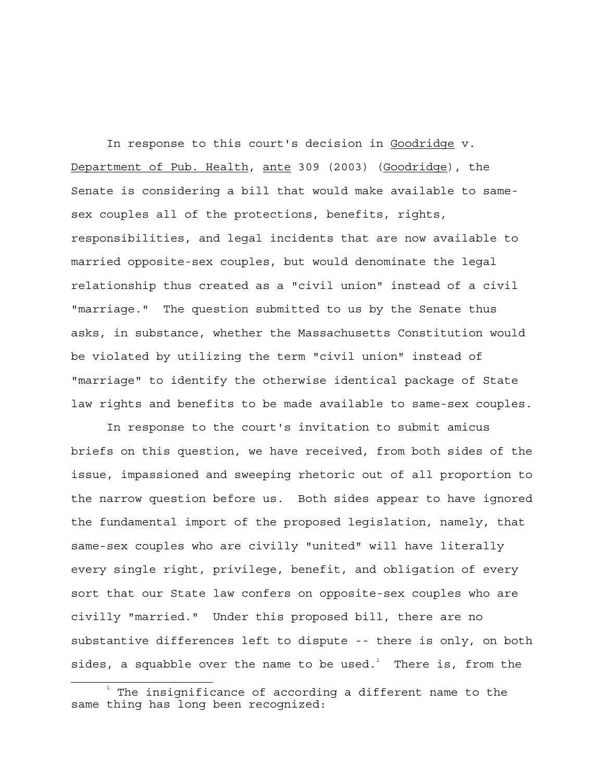<span id="page-19-0"></span>In response to this court's decision in Goodridge v. Department of Pub. Health, ante 309 (2003) (Goodridge), the Senate is considering a bill that would make available to samesex couples all of the protections, benefits, rights, responsibilities, and legal incidents that are now available to married opposite-sex couples, but would denominate the legal relationship thus created as a "civil union" instead of a civil "marriage." The question submitted to us by the Senate thus asks, in substance, whether the Massachusetts Constitution would be violated by utilizing the term "civil union" instead of "marriage" to identify the otherwise identical package of State law rights and benefits to be made available to same-sex couples.

In response to the court's invitation to submit amicus briefs on this question, we have received, from both sides of the issue, impassioned and sweeping rhetoric out of all proportion to the narrow question before us. Both sides appear to have ignored the fundamental import of the proposed legislation, namely, that same-sex couples who are civilly "united" will have literally every single right, privilege, benefit, and obligation of every sort that our State law confers on opposite-sex couples who are civilly "married." Under this proposed bill, there are no substantive differences left to dispute -- there is only, on both sides, a squabble over the name to be used. $^1$  $^1$  There is, from the

 $\overline{\phantom{a}1}$  The insignificance of according a different name to the same thing has long been recognized: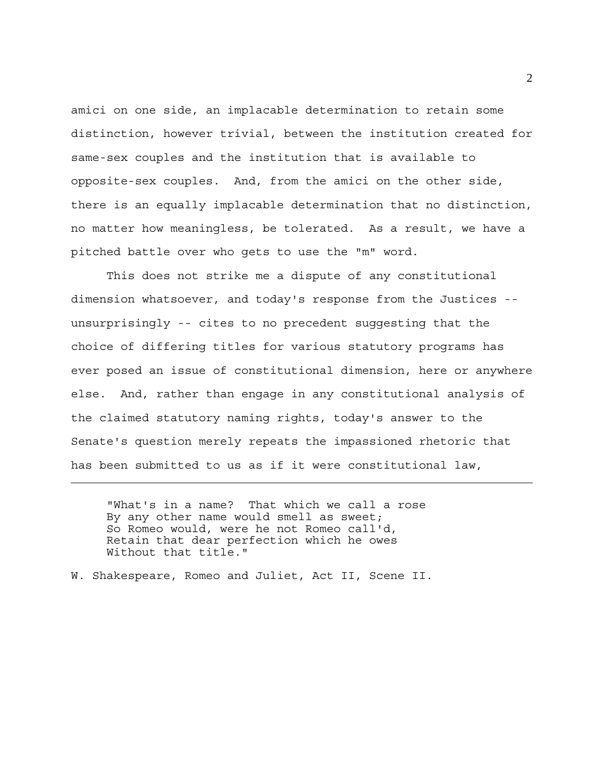amici on one side, an implacable determination to retain some distinction, however trivial, between the institution created for same-sex couples and the institution that is available to opposite-sex couples. And, from the amici on the other side, there is an equally implacable determination that no distinction, no matter how meaningless, be tolerated. As a result, we have a pitched battle over who gets to use the "m" word.

This does not strike me a dispute of any constitutional dimension whatsoever, and today's response from the Justices - unsurprisingly -- cites to no precedent suggesting that the choice of differing titles for various statutory programs has ever posed an issue of constitutional dimension, here or anywhere else. And, rather than engage in any constitutional analysis of the claimed statutory naming rights, today's answer to the Senate's question merely repeats the impassioned rhetoric that has been submitted to us as if it were constitutional law,

"What's in a name? That which we call a rose By any other name would smell as sweet; So Romeo would, were he not Romeo call'd, Retain that dear perfection which he owes Without that title."

W. Shakespeare, Romeo and Juliet, Act II, Scene II.

i<br>L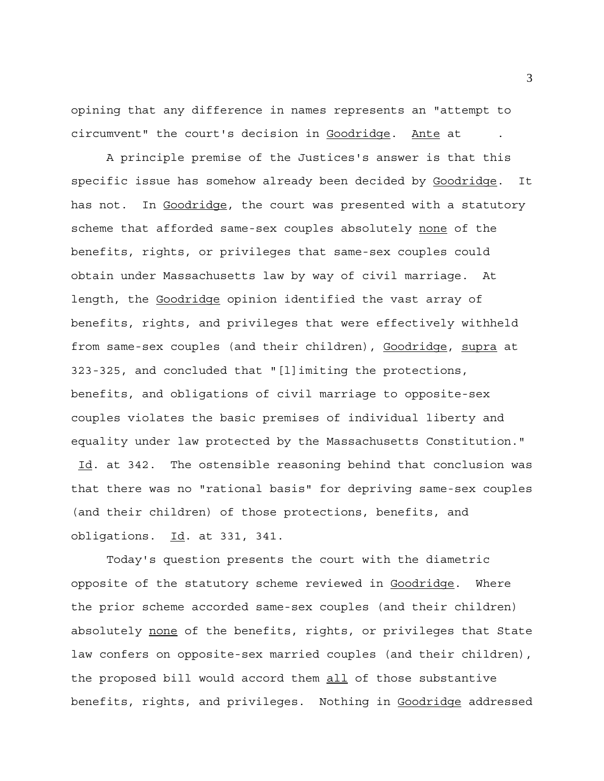opining that any difference in names represents an "attempt to circumvent" the court's decision in Goodridge. Ante at .

A principle premise of the Justices's answer is that this specific issue has somehow already been decided by Goodridge. It has not. In Goodridge, the court was presented with a statutory scheme that afforded same-sex couples absolutely none of the benefits, rights, or privileges that same-sex couples could obtain under Massachusetts law by way of civil marriage. At length, the Goodridge opinion identified the vast array of benefits, rights, and privileges that were effectively withheld from same-sex couples (and their children), Goodridge, supra at 323-325, and concluded that "[l]imiting the protections, benefits, and obligations of civil marriage to opposite-sex couples violates the basic premises of individual liberty and equality under law protected by the Massachusetts Constitution." Id. at 342. The ostensible reasoning behind that conclusion was that there was no "rational basis" for depriving same-sex couples (and their children) of those protections, benefits, and obligations. Id. at 331, 341.

Today's question presents the court with the diametric opposite of the statutory scheme reviewed in Goodridge. Where the prior scheme accorded same-sex couples (and their children) absolutely none of the benefits, rights, or privileges that State law confers on opposite-sex married couples (and their children), the proposed bill would accord them all of those substantive benefits, rights, and privileges. Nothing in Goodridge addressed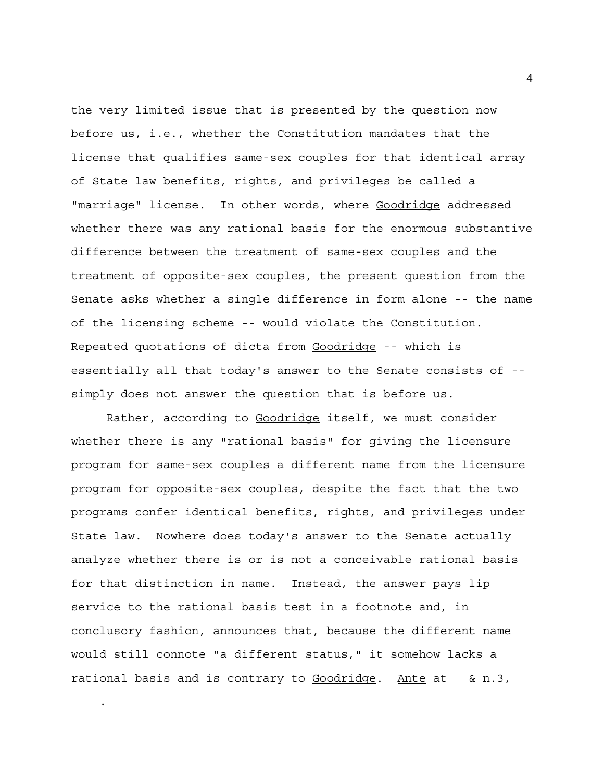the very limited issue that is presented by the question now before us, i.e., whether the Constitution mandates that the license that qualifies same-sex couples for that identical array of State law benefits, rights, and privileges be called a "marriage" license. In other words, where Goodridge addressed whether there was any rational basis for the enormous substantive difference between the treatment of same-sex couples and the treatment of opposite-sex couples, the present question from the Senate asks whether a single difference in form alone -- the name of the licensing scheme -- would violate the Constitution. Repeated quotations of dicta from Goodridge -- which is essentially all that today's answer to the Senate consists of - simply does not answer the question that is before us.

Rather, according to Goodridge itself, we must consider whether there is any "rational basis" for giving the licensure program for same-sex couples a different name from the licensure program for opposite-sex couples, despite the fact that the two programs confer identical benefits, rights, and privileges under State law. Nowhere does today's answer to the Senate actually analyze whether there is or is not a conceivable rational basis for that distinction in name. Instead, the answer pays lip service to the rational basis test in a footnote and, in conclusory fashion, announces that, because the different name would still connote "a different status," it somehow lacks a rational basis and is contrary to  $Goodridge$ . Ante at & n.3,

.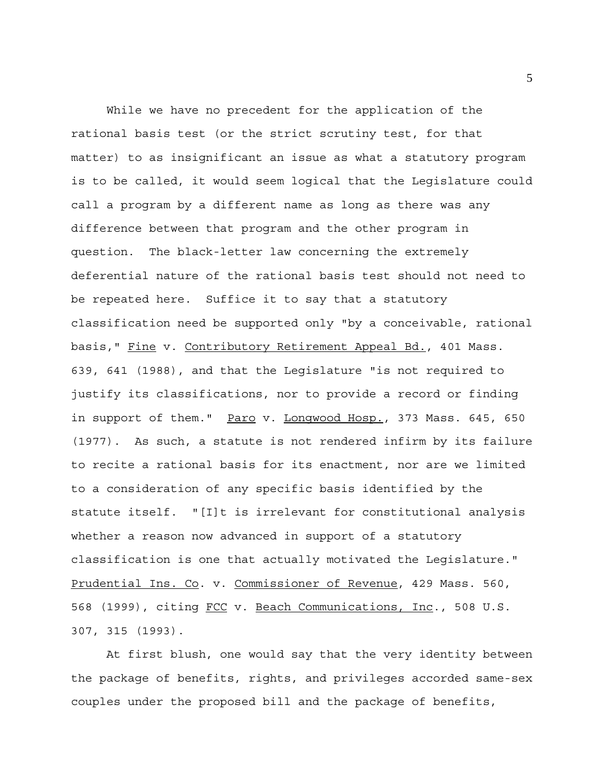While we have no precedent for the application of the rational basis test (or the strict scrutiny test, for that matter) to as insignificant an issue as what a statutory program is to be called, it would seem logical that the Legislature could call a program by a different name as long as there was any difference between that program and the other program in question. The black-letter law concerning the extremely deferential nature of the rational basis test should not need to be repeated here. Suffice it to say that a statutory classification need be supported only "by a conceivable, rational basis," Fine v. Contributory Retirement Appeal Bd., 401 Mass. 639, 641 (1988), and that the Legislature "is not required to justify its classifications, nor to provide a record or finding in support of them." Paro v. Longwood Hosp., 373 Mass. 645, 650 (1977). As such, a statute is not rendered infirm by its failure to recite a rational basis for its enactment, nor are we limited to a consideration of any specific basis identified by the statute itself. "[I]t is irrelevant for constitutional analysis whether a reason now advanced in support of a statutory classification is one that actually motivated the Legislature." Prudential Ins. Co. v. Commissioner of Revenue, 429 Mass. 560, 568 (1999), citing FCC v. Beach Communications, Inc., 508 U.S. 307, 315 (1993).

At first blush, one would say that the very identity between the package of benefits, rights, and privileges accorded same-sex couples under the proposed bill and the package of benefits,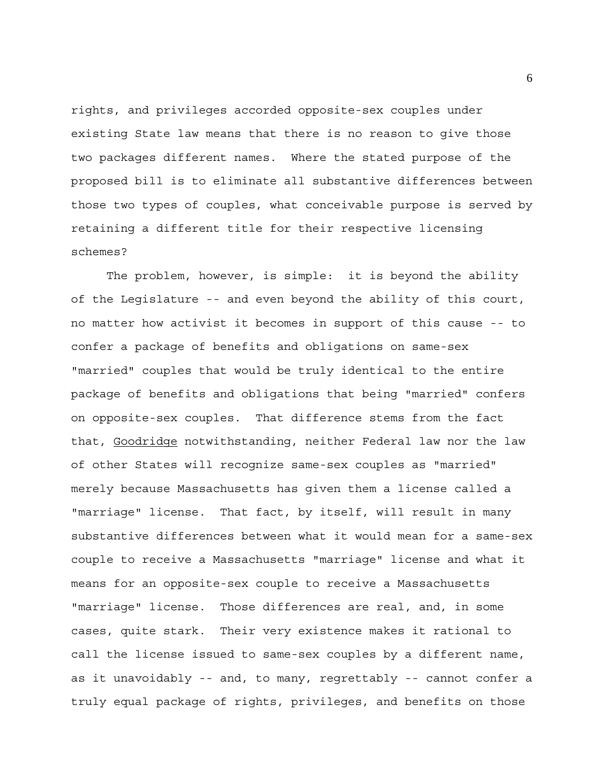rights, and privileges accorded opposite-sex couples under existing State law means that there is no reason to give those two packages different names. Where the stated purpose of the proposed bill is to eliminate all substantive differences between those two types of couples, what conceivable purpose is served by retaining a different title for their respective licensing schemes?

The problem, however, is simple: it is beyond the ability of the Legislature -- and even beyond the ability of this court, no matter how activist it becomes in support of this cause -- to confer a package of benefits and obligations on same-sex "married" couples that would be truly identical to the entire package of benefits and obligations that being "married" confers on opposite-sex couples. That difference stems from the fact that, Goodridge notwithstanding, neither Federal law nor the law of other States will recognize same-sex couples as "married" merely because Massachusetts has given them a license called a "marriage" license. That fact, by itself, will result in many substantive differences between what it would mean for a same-sex couple to receive a Massachusetts "marriage" license and what it means for an opposite-sex couple to receive a Massachusetts "marriage" license. Those differences are real, and, in some cases, quite stark. Their very existence makes it rational to call the license issued to same-sex couples by a different name, as it unavoidably -- and, to many, regrettably -- cannot confer a truly equal package of rights, privileges, and benefits on those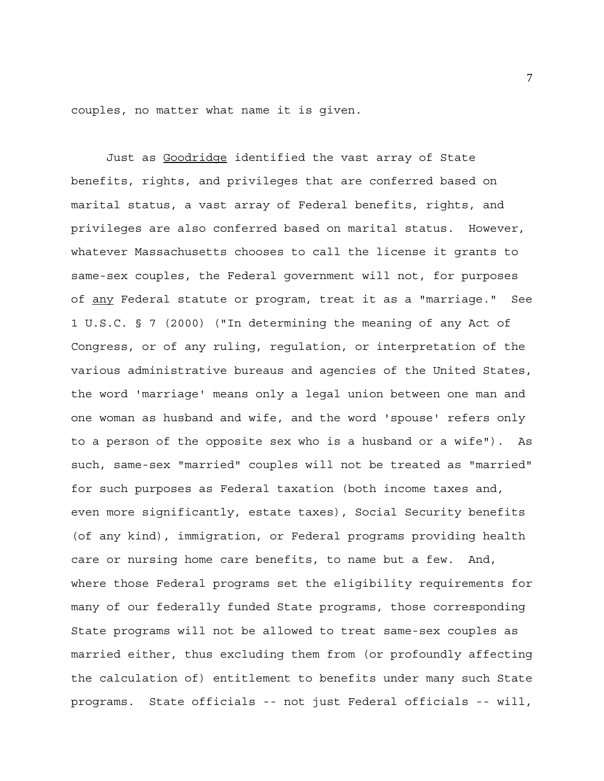couples, no matter what name it is given.

Just as Goodridge identified the vast array of State benefits, rights, and privileges that are conferred based on marital status, a vast array of Federal benefits, rights, and privileges are also conferred based on marital status. However, whatever Massachusetts chooses to call the license it grants to same-sex couples, the Federal government will not, for purposes of <u>any</u> Federal statute or program, treat it as a "marriage." See 1 U.S.C. § 7 (2000) ("In determining the meaning of any Act of Congress, or of any ruling, regulation, or interpretation of the various administrative bureaus and agencies of the United States, the word 'marriage' means only a legal union between one man and one woman as husband and wife, and the word 'spouse' refers only to a person of the opposite sex who is a husband or a wife"). As such, same-sex "married" couples will not be treated as "married" for such purposes as Federal taxation (both income taxes and, even more significantly, estate taxes), Social Security benefits (of any kind), immigration, or Federal programs providing health care or nursing home care benefits, to name but a few. And, where those Federal programs set the eligibility requirements for many of our federally funded State programs, those corresponding State programs will not be allowed to treat same-sex couples as married either, thus excluding them from (or profoundly affecting the calculation of) entitlement to benefits under many such State programs. State officials -- not just Federal officials -- will,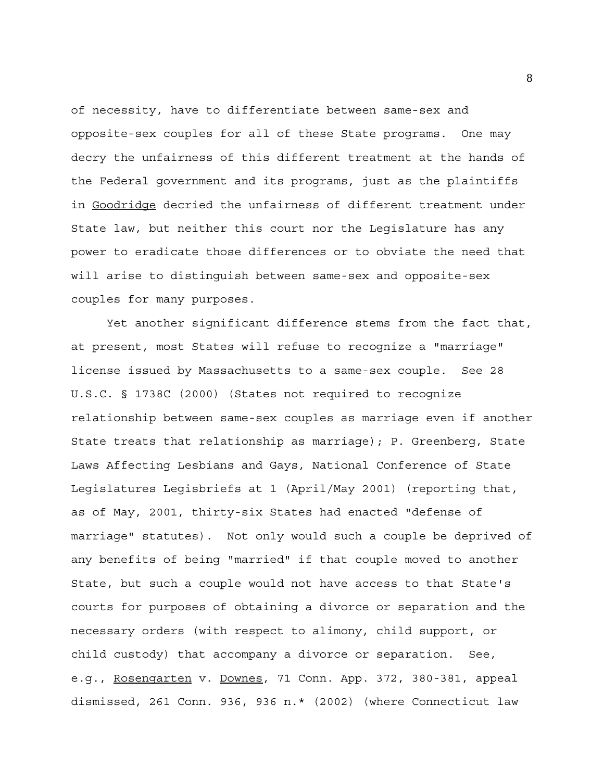of necessity, have to differentiate between same-sex and opposite-sex couples for all of these State programs. One may decry the unfairness of this different treatment at the hands of the Federal government and its programs, just as the plaintiffs in Goodridge decried the unfairness of different treatment under State law, but neither this court nor the Legislature has any power to eradicate those differences or to obviate the need that will arise to distinguish between same-sex and opposite-sex couples for many purposes.

Yet another significant difference stems from the fact that, at present, most States will refuse to recognize a "marriage" license issued by Massachusetts to a same-sex couple. See 28 U.S.C. § 1738C (2000) (States not required to recognize relationship between same-sex couples as marriage even if another State treats that relationship as marriage); P. Greenberg, State Laws Affecting Lesbians and Gays, National Conference of State Legislatures Legisbriefs at 1 (April/May 2001) (reporting that, as of May, 2001, thirty-six States had enacted "defense of marriage" statutes). Not only would such a couple be deprived of any benefits of being "married" if that couple moved to another State, but such a couple would not have access to that State's courts for purposes of obtaining a divorce or separation and the necessary orders (with respect to alimony, child support, or child custody) that accompany a divorce or separation. See, e.g., Rosengarten v. Downes, 71 Conn. App. 372, 380-381, appeal dismissed, 261 Conn. 936, 936 n.\* (2002) (where Connecticut law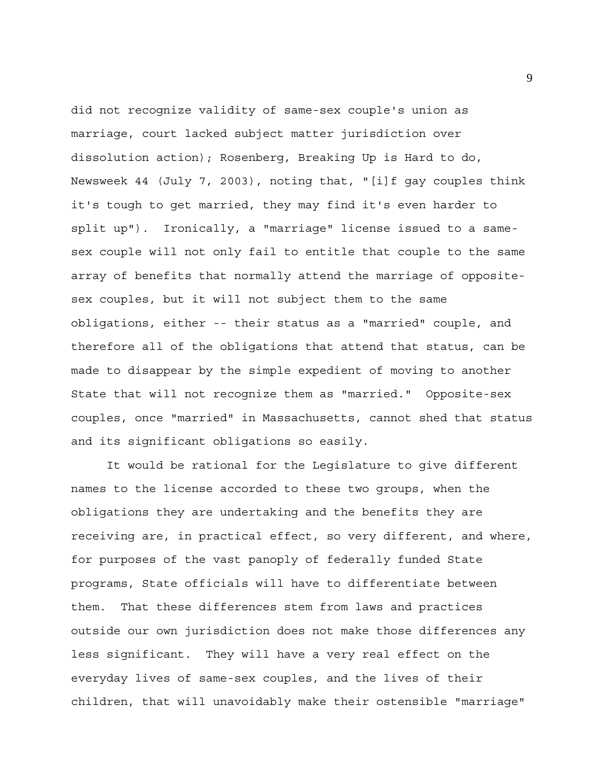did not recognize validity of same-sex couple's union as marriage, court lacked subject matter jurisdiction over dissolution action); Rosenberg, Breaking Up is Hard to do, Newsweek 44 (July 7, 2003), noting that, "[i]f gay couples think it's tough to get married, they may find it's even harder to split up"). Ironically, a "marriage" license issued to a samesex couple will not only fail to entitle that couple to the same array of benefits that normally attend the marriage of oppositesex couples, but it will not subject them to the same obligations, either -- their status as a "married" couple, and therefore all of the obligations that attend that status, can be made to disappear by the simple expedient of moving to another State that will not recognize them as "married." Opposite-sex couples, once "married" in Massachusetts, cannot shed that status and its significant obligations so easily.

It would be rational for the Legislature to give different names to the license accorded to these two groups, when the obligations they are undertaking and the benefits they are receiving are, in practical effect, so very different, and where, for purposes of the vast panoply of federally funded State programs, State officials will have to differentiate between them. That these differences stem from laws and practices outside our own jurisdiction does not make those differences any less significant. They will have a very real effect on the everyday lives of same-sex couples, and the lives of their children, that will unavoidably make their ostensible "marriage"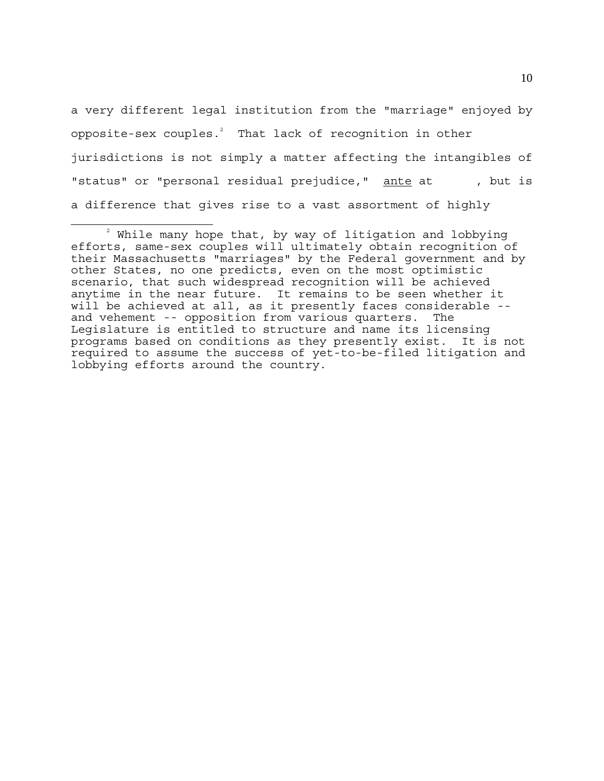a very different legal institution from the "marriage" enjoyed by opposite-sex couples. $^{2}$  $^{2}$  $^{2}$  That lack of recognition in other jurisdictions is not simply a matter affecting the intangibles of "status" or "personal residual prejudice," ante at , but is a difference that gives rise to a vast assortment of highly

<span id="page-28-0"></span> $\overline{\phantom{a}}$  $3$  While many hope that, by way of litigation and lobbying efforts, same-sex couples will ultimately obtain recognition of their Massachusetts "marriages" by the Federal government and by other States, no one predicts, even on the most optimistic scenario, that such widespread recognition will be achieved anytime in the near future. It remains to be seen whether it will be achieved at all, as it presently faces considerable - and vehement -- opposition from various quarters. The Legislature is entitled to structure and name its licensing programs based on conditions as they presently exist. It is not required to assume the success of yet-to-be-filed litigation and lobbying efforts around the country.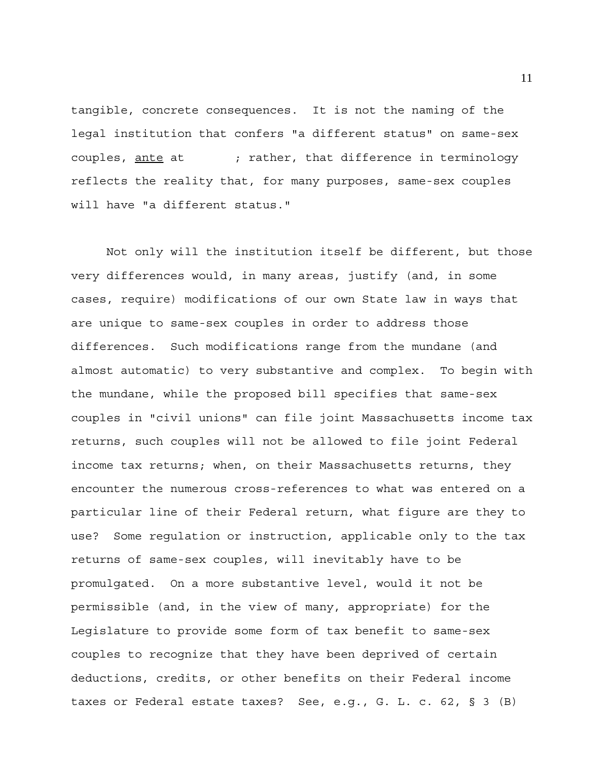tangible, concrete consequences. It is not the naming of the legal institution that confers "a different status" on same-sex couples, <u>ante</u> at  $\qquad \qquad ;$  rather, that difference in terminology reflects the reality that, for many purposes, same-sex couples will have "a different status."

Not only will the institution itself be different, but those very differences would, in many areas, justify (and, in some cases, require) modifications of our own State law in ways that are unique to same-sex couples in order to address those differences. Such modifications range from the mundane (and almost automatic) to very substantive and complex. To begin with the mundane, while the proposed bill specifies that same-sex couples in "civil unions" can file joint Massachusetts income tax returns, such couples will not be allowed to file joint Federal income tax returns; when, on their Massachusetts returns, they encounter the numerous cross-references to what was entered on a particular line of their Federal return, what figure are they to use? Some regulation or instruction, applicable only to the tax returns of same-sex couples, will inevitably have to be promulgated. On a more substantive level, would it not be permissible (and, in the view of many, appropriate) for the Legislature to provide some form of tax benefit to same-sex couples to recognize that they have been deprived of certain deductions, credits, or other benefits on their Federal income taxes or Federal estate taxes? See, e.g., G. L. c. 62, § 3 (B)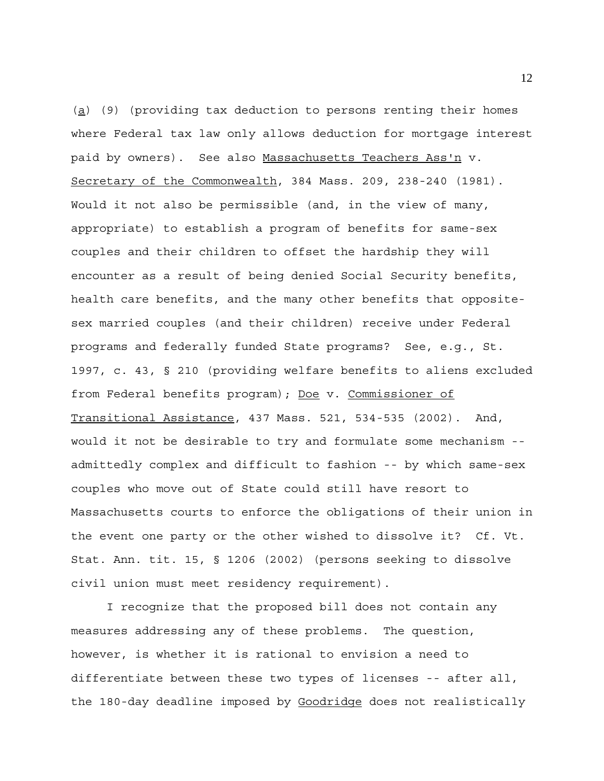(a) (9) (providing tax deduction to persons renting their homes where Federal tax law only allows deduction for mortgage interest paid by owners). See also Massachusetts Teachers Ass'n v. Secretary of the Commonwealth, 384 Mass. 209, 238-240 (1981). Would it not also be permissible (and, in the view of many, appropriate) to establish a program of benefits for same-sex couples and their children to offset the hardship they will encounter as a result of being denied Social Security benefits, health care benefits, and the many other benefits that oppositesex married couples (and their children) receive under Federal programs and federally funded State programs? See, e.g., St. 1997, c. 43, § 210 (providing welfare benefits to aliens excluded from Federal benefits program); <u>Doe</u> v. Commissioner of Transitional Assistance, 437 Mass. 521, 534-535 (2002). And, would it not be desirable to try and formulate some mechanism - admittedly complex and difficult to fashion -- by which same-sex couples who move out of State could still have resort to Massachusetts courts to enforce the obligations of their union in the event one party or the other wished to dissolve it? Cf. Vt. Stat. Ann. tit. 15, § 1206 (2002) (persons seeking to dissolve civil union must meet residency requirement).

I recognize that the proposed bill does not contain any measures addressing any of these problems. The question, however, is whether it is rational to envision a need to differentiate between these two types of licenses -- after all, the 180-day deadline imposed by Goodridge does not realistically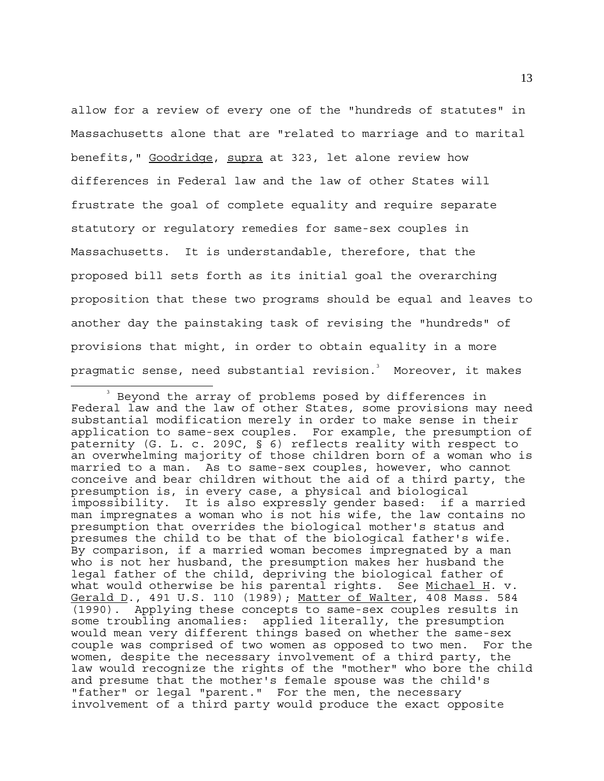<span id="page-31-0"></span>allow for a review of every one of the "hundreds of statutes" in Massachusetts alone that are "related to marriage and to marital benefits," Goodridge, supra at 323, let alone review how differences in Federal law and the law of other States will frustrate the goal of complete equality and require separate statutory or regulatory remedies for same-sex couples in Massachusetts. It is understandable, therefore, that the proposed bill sets forth as its initial goal the overarching proposition that these two programs should be equal and leaves to another day the painstaking task of revising the "hundreds" of provisions that might, in order to obtain equality in a more pragmatic sense, need substantial revision.<sup>[3](#page-31-0)</sup> Moreover, it makes

 $\frac{1}{3}$ <sup>3</sup> Beyond the array of problems posed by differences in Federal law and the law of other States, some provisions may need substantial modification merely in order to make sense in their application to same-sex couples. For example, the presumption of paternity (G. L. c. 209C, § 6) reflects reality with respect to an overwhelming majority of those children born of a woman who is married to a man. As to same-sex couples, however, who cannot conceive and bear children without the aid of a third party, the presumption is, in every case, a physical and biological impossibility. It is also expressly gender based: if a married man impregnates a woman who is not his wife, the law contains no presumption that overrides the biological mother's status and presumes the child to be that of the biological father's wife. By comparison, if a married woman becomes impregnated by a man who is not her husband, the presumption makes her husband the legal father of the child, depriving the biological father of what would otherwise be his parental rights. See Michael  $H$ . v. Gerald D., 491 U.S. 110 (1989); Matter of Walter, 408 Mass. 584 (1990). Applying these concepts to same-sex couples results in some troubling anomalies: applied literally, the presumption would mean very different things based on whether the same-sex couple was comprised of two women as opposed to two men. For the women, despite the necessary involvement of a third party, the law would recognize the rights of the "mother" who bore the child and presume that the mother's female spouse was the child's "father" or legal "parent." For the men, the necessary involvement of a third party would produce the exact opposite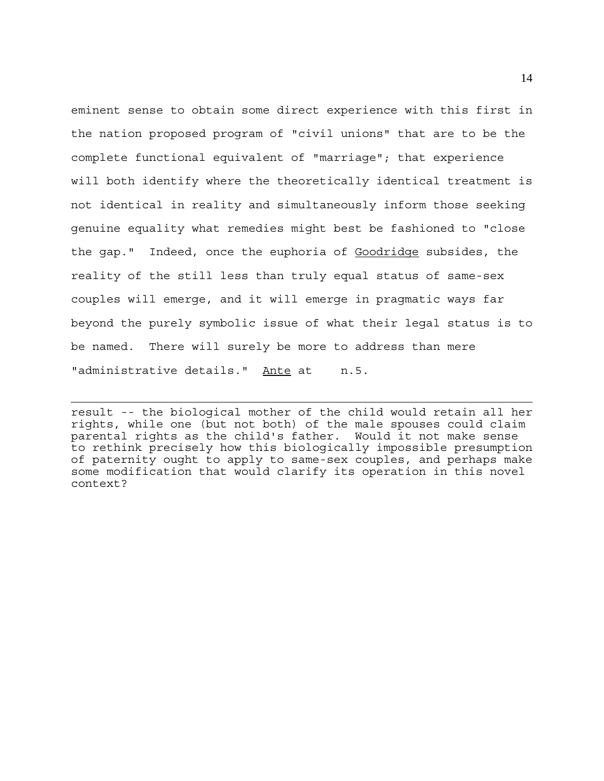eminent sense to obtain some direct experience with this first in the nation proposed program of "civil unions" that are to be the complete functional equivalent of "marriage"; that experience will both identify where the theoretically identical treatment is not identical in reality and simultaneously inform those seeking genuine equality what remedies might best be fashioned to "close the gap." Indeed, once the euphoria of Goodridge subsides, the reality of the still less than truly equal status of same-sex couples will emerge, and it will emerge in pragmatic ways far beyond the purely symbolic issue of what their legal status is to be named. There will surely be more to address than mere "administrative details." Ante at n.5.

ı

result -- the biological mother of the child would retain all her rights, while one (but not both) of the male spouses could claim parental rights as the child's father. Would it not make sense to rethink precisely how this biologically impossible presumption of paternity ought to apply to same-sex couples, and perhaps make some modification that would clarify its operation in this novel context?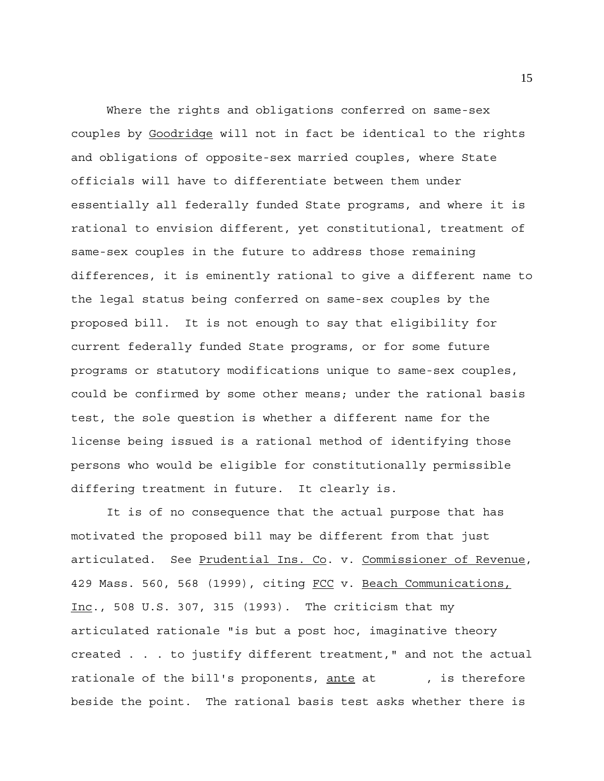Where the rights and obligations conferred on same-sex couples by Goodridge will not in fact be identical to the rights and obligations of opposite-sex married couples, where State officials will have to differentiate between them under essentially all federally funded State programs, and where it is rational to envision different, yet constitutional, treatment of same-sex couples in the future to address those remaining differences, it is eminently rational to give a different name to the legal status being conferred on same-sex couples by the proposed bill. It is not enough to say that eligibility for current federally funded State programs, or for some future programs or statutory modifications unique to same-sex couples, could be confirmed by some other means; under the rational basis test, the sole question is whether a different name for the license being issued is a rational method of identifying those persons who would be eligible for constitutionally permissible differing treatment in future. It clearly is.

It is of no consequence that the actual purpose that has motivated the proposed bill may be different from that just articulated. See Prudential Ins. Co. v. Commissioner of Revenue, 429 Mass. 560, 568 (1999), citing FCC v. Beach Communications, Inc., 508 U.S. 307, 315 (1993). The criticism that my articulated rationale "is but a post hoc, imaginative theory created . . . to justify different treatment," and not the actual rationale of the bill's proponents, ante at , is therefore beside the point. The rational basis test asks whether there is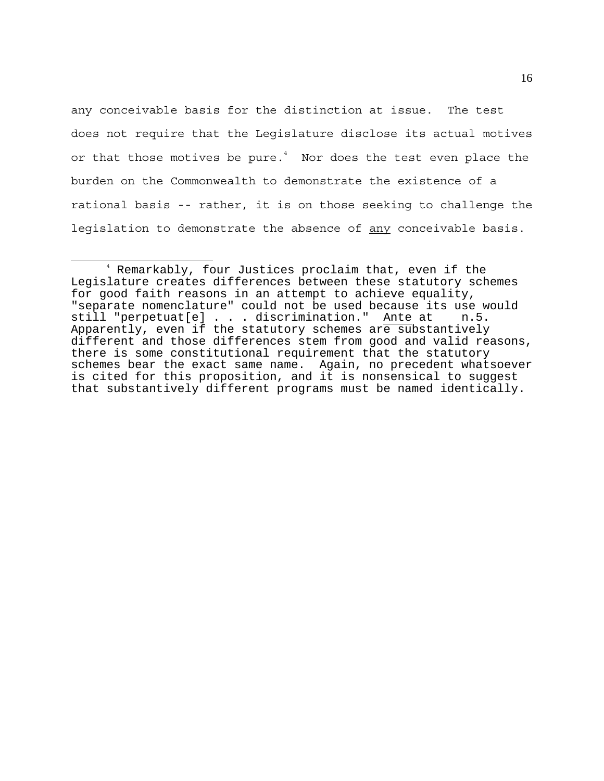any conceivable basis for the distinction at issue. The test does not require that the Legislature disclose its actual motives or that those motives be pure. $^4\;$  $^4\;$  $^4\;$  Nor does the test even place the burden on the Commonwealth to demonstrate the existence of a rational basis -- rather, it is on those seeking to challenge the legislation to demonstrate the absence of any conceivable basis.

<span id="page-34-0"></span> <sup>4</sup> Remarkably, four Justices proclaim that, even if the Legislature creates differences between these statutory schemes for good faith reasons in an attempt to achieve equality, "separate nomenclature" could not be used because its use would still "perpetuat[e] . . . discrimination." Ante at n.5. Apparently, even if the statutory schemes are substantively different and those differences stem from good and valid reasons, there is some constitutional requirement that the statutory schemes bear the exact same name. Again, no precedent whatsoever is cited for this proposition, and it is nonsensical to suggest that substantively different programs must be named identically.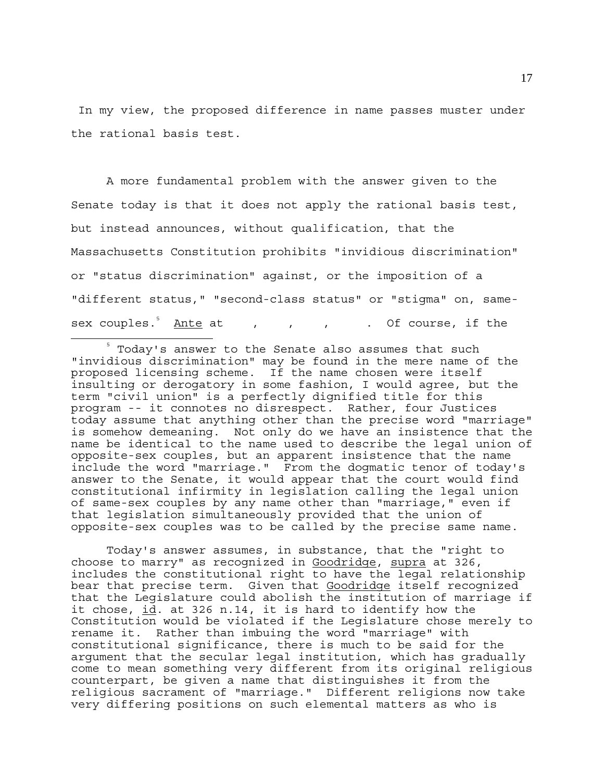<span id="page-35-0"></span> In my view, the proposed difference in name passes muster under the rational basis test.

A more fundamental problem with the answer given to the Senate today is that it does not apply the rational basis test, but instead announces, without qualification, that the Massachusetts Constitution prohibits "invidious discrimination" or "status discrimination" against, or the imposition of a "different status," "second-class status" or "stigma" on, same-sex couples.<sup>[5](#page-35-0)</sup> Ante at , , , , . Of course, if the

 $\frac{1}{5}$  Today's answer to the Senate also assumes that such "invidious discrimination" may be found in the mere name of the proposed licensing scheme. If the name chosen were itself insulting or derogatory in some fashion, I would agree, but the term "civil union" is a perfectly dignified title for this program -- it connotes no disrespect. Rather, four Justices today assume that anything other than the precise word "marriage" is somehow demeaning. Not only do we have an insistence that the name be identical to the name used to describe the legal union of opposite-sex couples, but an apparent insistence that the name include the word "marriage." From the dogmatic tenor of today's answer to the Senate, it would appear that the court would find constitutional infirmity in legislation calling the legal union of same-sex couples by any name other than "marriage," even if that legislation simultaneously provided that the union of opposite-sex couples was to be called by the precise same name.

Today's answer assumes, in substance, that the "right to choose to marry" as recognized in Goodridge, supra at 326, includes the constitutional right to have the legal relationship bear that precise term. Given that Goodridge itself recognized that the Legislature could abolish the institution of marriage if it chose, id. at 326 n.14, it is hard to identify how the Constitution would be violated if the Legislature chose merely to rename it. Rather than imbuing the word "marriage" with constitutional significance, there is much to be said for the argument that the secular legal institution, which has gradually come to mean something very different from its original religious counterpart, be given a name that distinguishes it from the religious sacrament of "marriage." Different religions now take very differing positions on such elemental matters as who is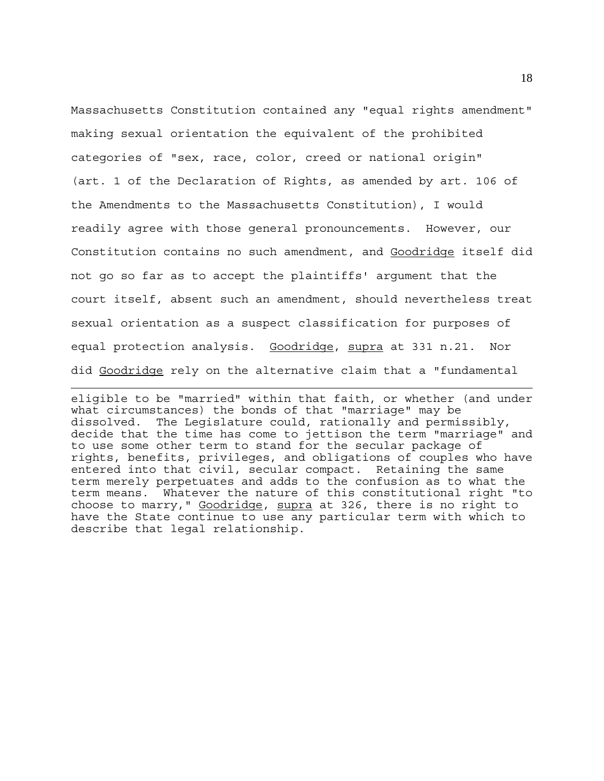Massachusetts Constitution contained any "equal rights amendment" making sexual orientation the equivalent of the prohibited categories of "sex, race, color, creed or national origin" (art. 1 of the Declaration of Rights, as amended by art. 106 of the Amendments to the Massachusetts Constitution), I would readily agree with those general pronouncements. However, our Constitution contains no such amendment, and Goodridge itself did not go so far as to accept the plaintiffs' argument that the court itself, absent such an amendment, should nevertheless treat sexual orientation as a suspect classification for purposes of equal protection analysis. Goodridge, supra at 331 n.21. Nor did Goodridge rely on the alternative claim that a "fundamental

eligible to be "married" within that faith, or whether (and under what circumstances) the bonds of that "marriage" may be dissolved. The Legislature could, rationally and permissibly, decide that the time has come to jettison the term "marriage" and to use some other term to stand for the secular package of rights, benefits, privileges, and obligations of couples who have entered into that civil, secular compact. Retaining the same term merely perpetuates and adds to the confusion as to what the term means. Whatever the nature of this constitutional right "to choose to marry," Goodridge, supra at 326, there is no right to have the State continue to use any particular term with which to describe that legal relationship.

i<br>L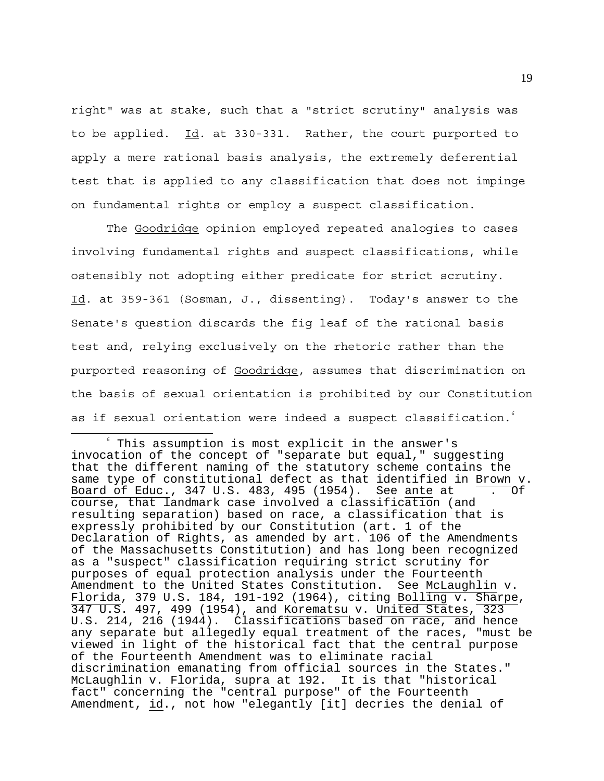right" was at stake, such that a "strict scrutiny" analysis was to be applied.  $\underline{Id}$ . at 330-331. Rather, the court purported to apply a mere rational basis analysis, the extremely deferential test that is applied to any classification that does not impinge on fundamental rights or employ a suspect classification.

The Goodridge opinion employed repeated analogies to cases involving fundamental rights and suspect classifications, while ostensibly not adopting either predicate for strict scrutiny. Id. at 359-361 (Sosman, J., dissenting). Today's answer to the Senate's question discards the fig leaf of the rational basis test and, relying exclusively on the rhetoric rather than the purported reasoning of Goodridge, assumes that discrimination on the basis of sexual orientation is prohibited by our Constitution as if sexual orientation were indeed a suspect classification.<sup>[6](#page-37-0)</sup>

<span id="page-37-0"></span> $\overline{6}$  This assumption is most explicit in the answer's invocation of the concept of "separate but equal," suggesting that the different naming of the statutory scheme contains the same type of constitutional defect as that identified in Brown v. Board of Educ., 347 U.S. 483, 495 (1954). See ante at  $\overline{\phantom{a}}$  . Of course, that landmark case involved a classification (and resulting separation) based on race, a classification that is expressly prohibited by our Constitution (art. 1 of the Declaration of Rights, as amended by art. 106 of the Amendments of the Massachusetts Constitution) and has long been recognized as a "suspect" classification requiring strict scrutiny for purposes of equal protection analysis under the Fourteenth Amendment to the United States Constitution. See McLaughlin v. Florida, 379 U.S. 184, 191-192 (1964), citing Bolling v. Sharpe, 347 U.S. 497, 499 (1954), and Korematsu v. United States, 323 U.S. 214, 216 (1944). Classifications based on race, and hence any separate but allegedly equal treatment of the races, "must be viewed in light of the historical fact that the central purpose of the Fourteenth Amendment was to eliminate racial discrimination emanating from official sources in the States." McLaughlin v. Florida, supra at 192. It is that "historical fact" concerning the "central purpose" of the Fourteenth Amendment, id., not how "elegantly [it] decries the denial of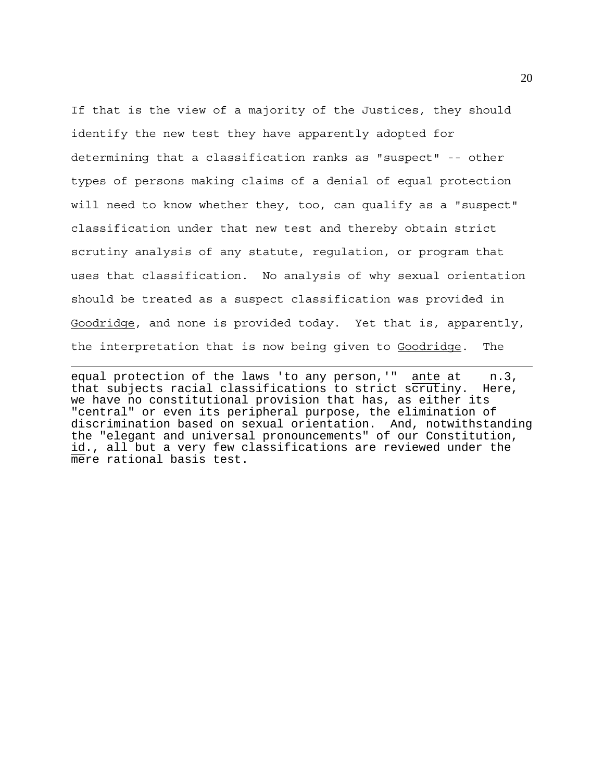If that is the view of a majority of the Justices, they should identify the new test they have apparently adopted for determining that a classification ranks as "suspect" -- other types of persons making claims of a denial of equal protection will need to know whether they, too, can qualify as a "suspect" classification under that new test and thereby obtain strict scrutiny analysis of any statute, regulation, or program that uses that classification. No analysis of why sexual orientation should be treated as a suspect classification was provided in Goodridge, and none is provided today. Yet that is, apparently, the interpretation that is now being given to Goodridge. The

equal protection of the laws 'to any person,'" ante at n.3, that subjects racial classifications to strict scrutiny. Here, we have no constitutional provision that has, as either its "central" or even its peripheral purpose, the elimination of discrimination based on sexual orientation. And, notwithstanding the "elegant and universal pronouncements" of our Constitution, id., all but a very few classifications are reviewed under the mere rational basis test.

ı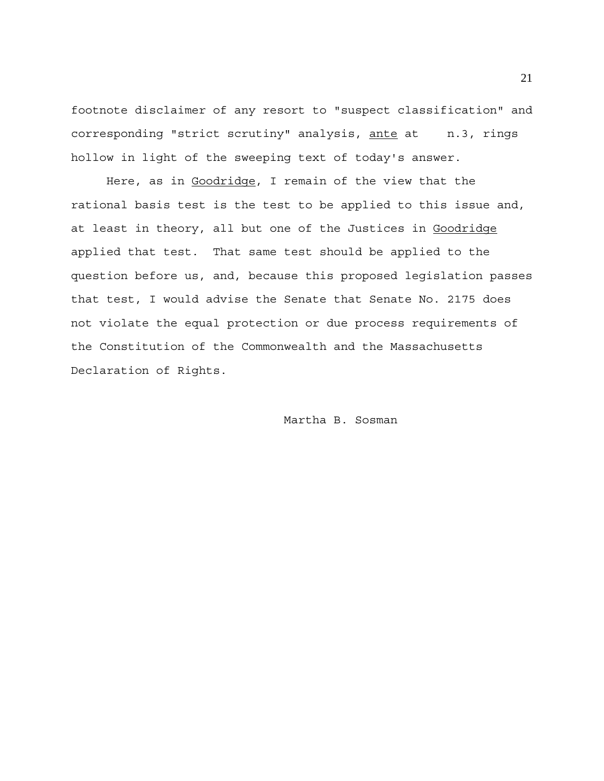footnote disclaimer of any resort to "suspect classification" and corresponding "strict scrutiny" analysis, ante at n.3, rings hollow in light of the sweeping text of today's answer.

Here, as in Goodridge, I remain of the view that the rational basis test is the test to be applied to this issue and, at least in theory, all but one of the Justices in Goodridge applied that test. That same test should be applied to the question before us, and, because this proposed legislation passes that test, I would advise the Senate that Senate No. 2175 does not violate the equal protection or due process requirements of the Constitution of the Commonwealth and the Massachusetts Declaration of Rights.

Martha B. Sosman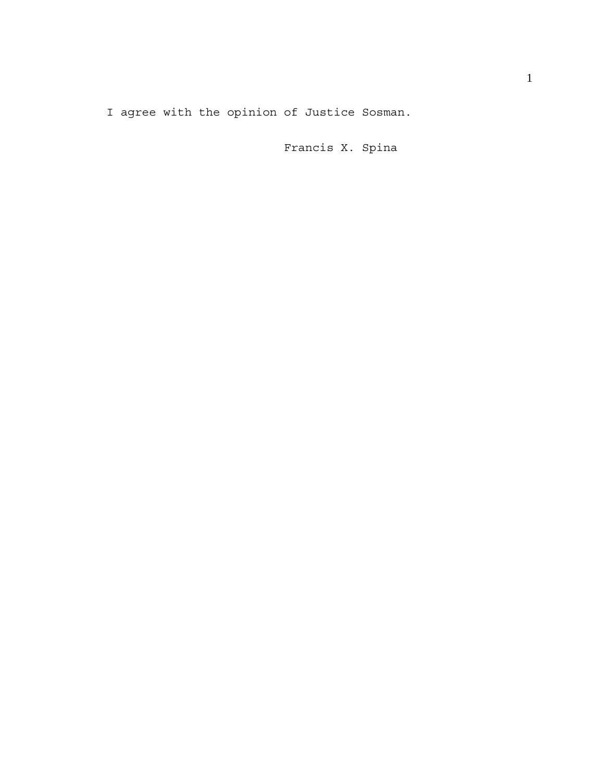I agree with the opinion of Justice Sosman.

Francis X. Spina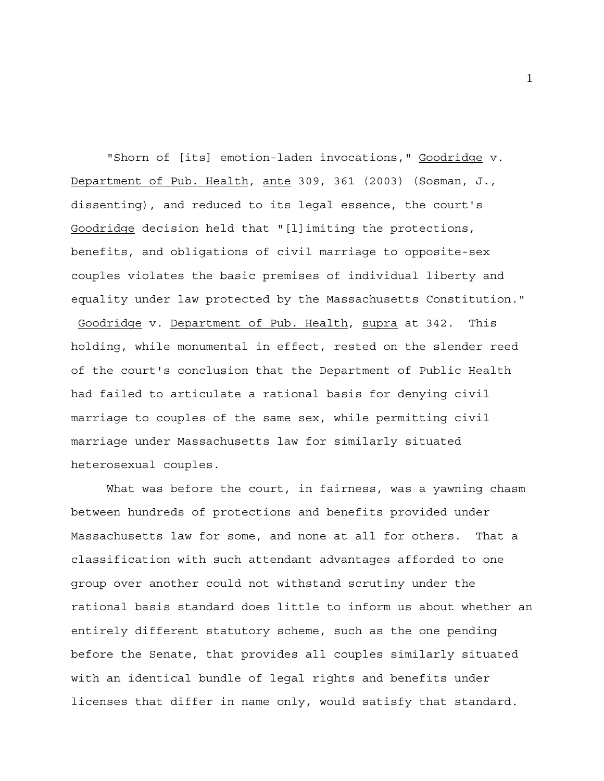"Shorn of [its] emotion-laden invocations," Goodridge v. Department of Pub. Health, ante 309, 361 (2003) (Sosman, J., dissenting), and reduced to its legal essence, the court's Goodridge decision held that "[l]imiting the protections, benefits, and obligations of civil marriage to opposite-sex couples violates the basic premises of individual liberty and equality under law protected by the Massachusetts Constitution." Goodridge v. Department of Pub. Health, supra at 342. This holding, while monumental in effect, rested on the slender reed of the court's conclusion that the Department of Public Health had failed to articulate a rational basis for denying civil marriage to couples of the same sex, while permitting civil marriage under Massachusetts law for similarly situated heterosexual couples.

What was before the court, in fairness, was a yawning chasm between hundreds of protections and benefits provided under Massachusetts law for some, and none at all for others. That a classification with such attendant advantages afforded to one group over another could not withstand scrutiny under the rational basis standard does little to inform us about whether an entirely different statutory scheme, such as the one pending before the Senate, that provides all couples similarly situated with an identical bundle of legal rights and benefits under licenses that differ in name only, would satisfy that standard.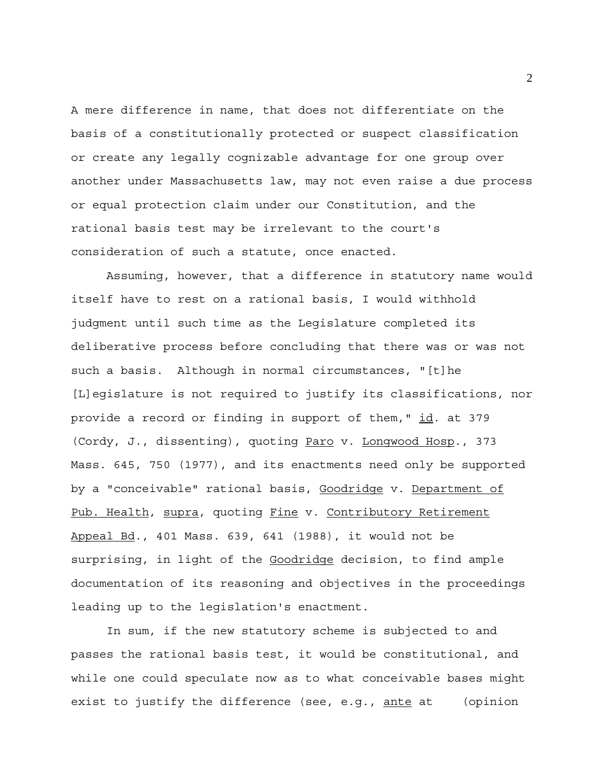A mere difference in name, that does not differentiate on the basis of a constitutionally protected or suspect classification or create any legally cognizable advantage for one group over another under Massachusetts law, may not even raise a due process or equal protection claim under our Constitution, and the rational basis test may be irrelevant to the court's consideration of such a statute, once enacted.

Assuming, however, that a difference in statutory name would itself have to rest on a rational basis, I would withhold judgment until such time as the Legislature completed its deliberative process before concluding that there was or was not such a basis. Although in normal circumstances, "[t]he [L]egislature is not required to justify its classifications, nor provide a record or finding in support of them," id. at 379 (Cordy, J., dissenting), quoting Paro v. Longwood Hosp., 373 Mass. 645, 750 (1977), and its enactments need only be supported by a "conceivable" rational basis, Goodridge v. Department of Pub. Health, supra, quoting Fine v. Contributory Retirement Appeal Bd., 401 Mass. 639, 641 (1988), it would not be surprising, in light of the Goodridge decision, to find ample documentation of its reasoning and objectives in the proceedings leading up to the legislation's enactment.

In sum, if the new statutory scheme is subjected to and passes the rational basis test, it would be constitutional, and while one could speculate now as to what conceivable bases might exist to justify the difference (see, e.g., ante at (opinion